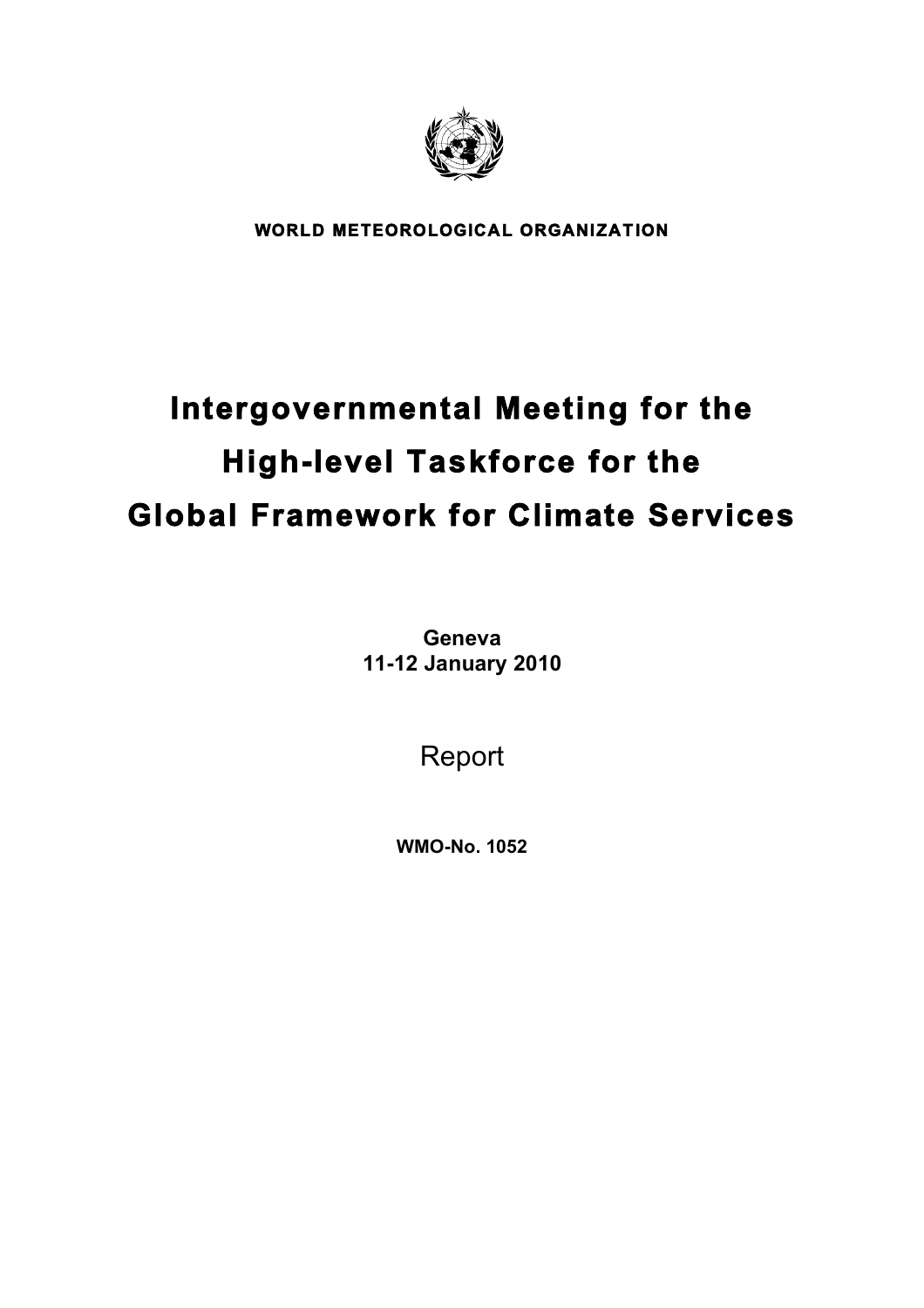

**WORLD METEOROLOGICAL ORGANIZATION** 

# **Intergovernmental Meeting for the High-level Taskforce for the Global Framework for Climate Services**

**Geneva 11-12 January 2010**

Report

**WMO-No. 1052**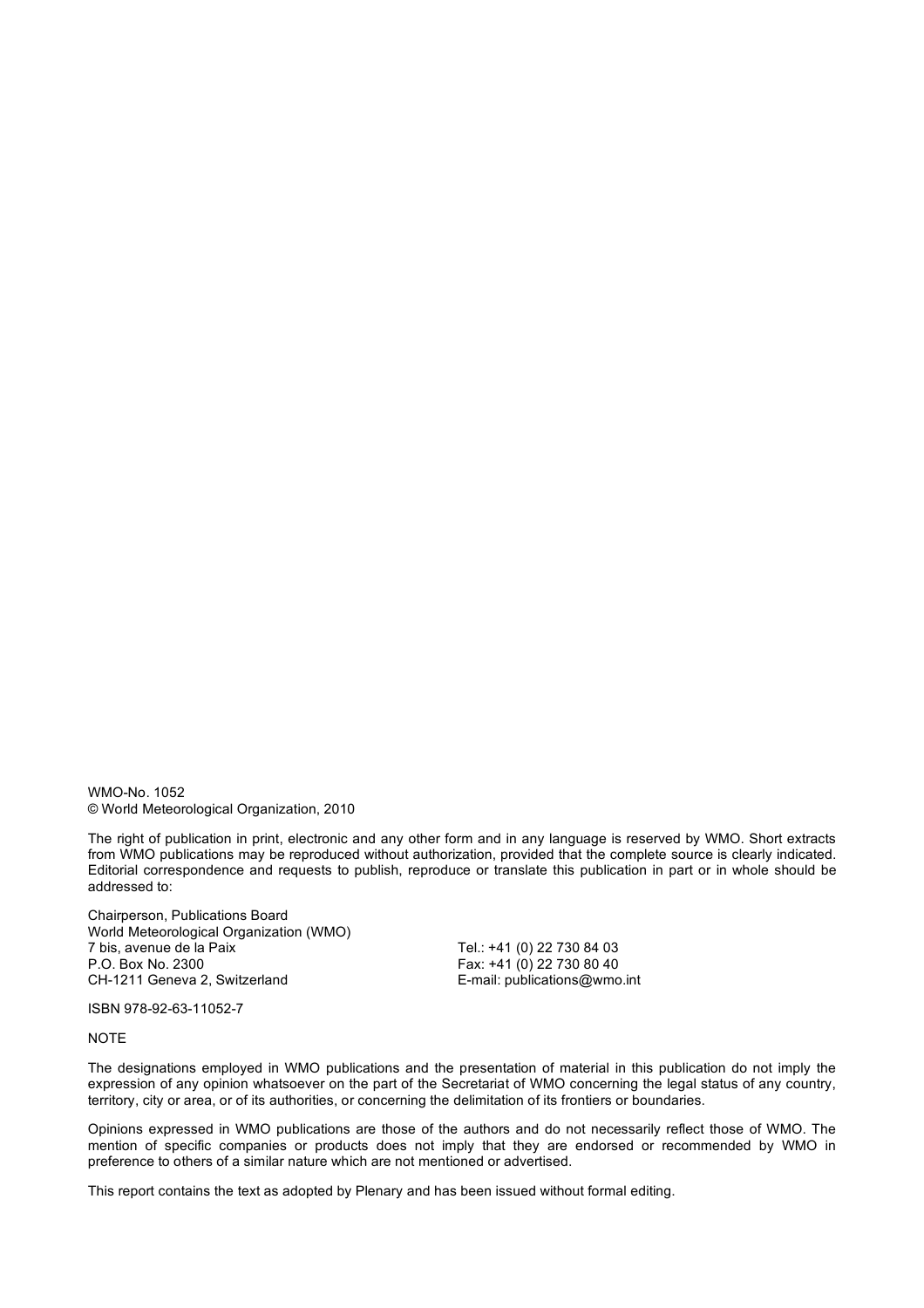WMO-No. 1052 © World Meteorological Organization, 2010

The right of publication in print, electronic and any other form and in any language is reserved by WMO. Short extracts from WMO publications may be reproduced without authorization, provided that the complete source is clearly indicated. Editorial correspondence and requests to publish, reproduce or translate this publication in part or in whole should be addressed to:

Chairperson, Publications Board World Meteorological Organization (WMO)<br>7 bis. avenue de la Paix 7 bis, avenue de la Paix Tel.: +41 (0) 22 730 84 03 CH-1211 Geneva 2, Switzerland E-mail: publications@wmo.int

Fax:  $+41 (0)$  22 730 80 40

ISBN 978-92-63-11052-7

#### NOTE

The designations employed in WMO publications and the presentation of material in this publication do not imply the expression of any opinion whatsoever on the part of the Secretariat of WMO concerning the legal status of any country, territory, city or area, or of its authorities, or concerning the delimitation of its frontiers or boundaries.

Opinions expressed in WMO publications are those of the authors and do not necessarily reflect those of WMO. The mention of specific companies or products does not imply that they are endorsed or recommended by WMO in preference to others of a similar nature which are not mentioned or advertised.

This report contains the text as adopted by Plenary and has been issued without formal editing.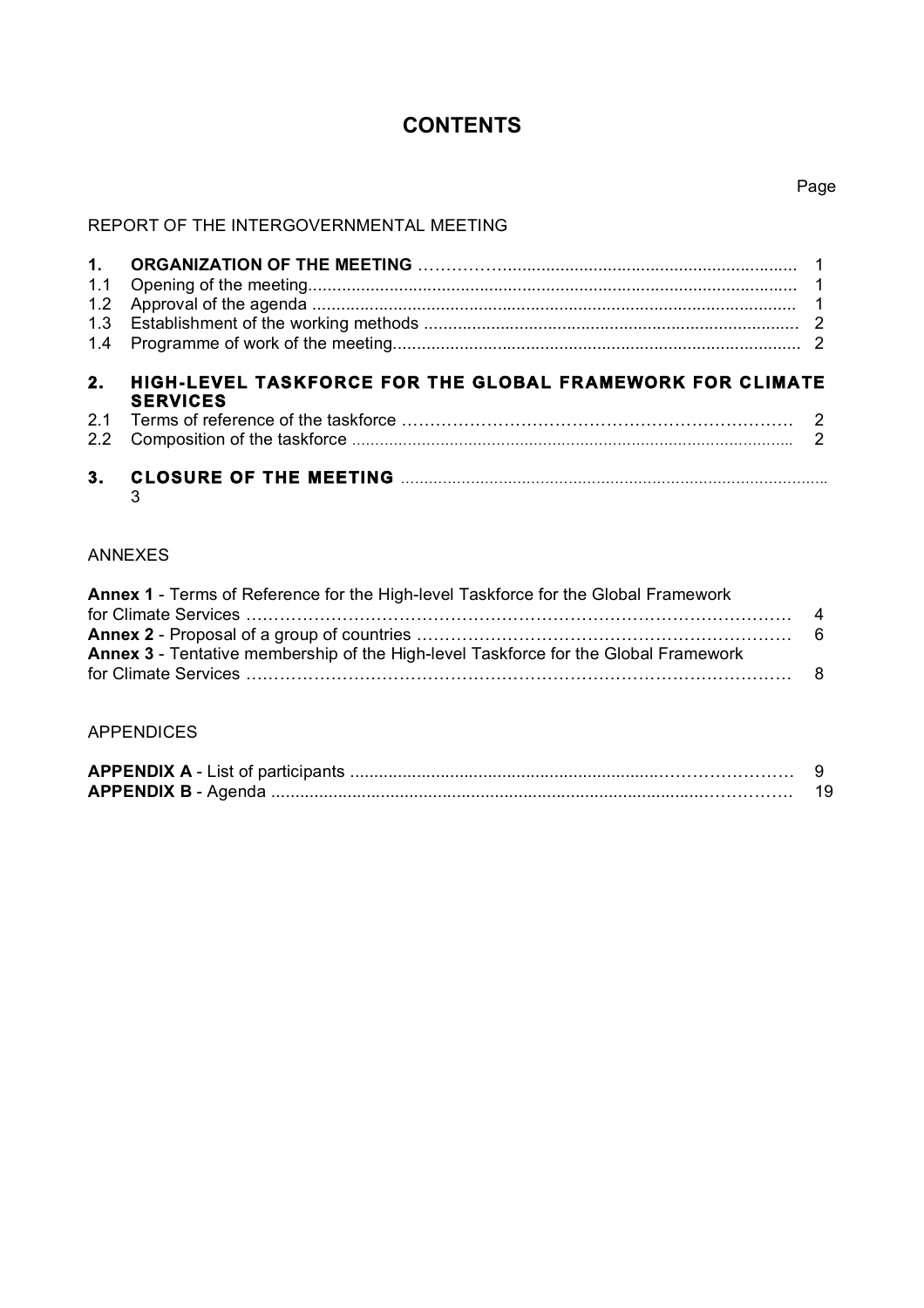# **CONTENTS**

#### REPORT OF THE INTERGOVERNMENTAL MEETING

| 2.2 | <b>SERVICES</b>                                           |  |
|-----|-----------------------------------------------------------|--|
|     |                                                           |  |
|     |                                                           |  |
| 2.  | HIGH-LEVEL TASKFORCE FOR THE GLOBAL FRAMEWORK FOR CLIMATE |  |
|     |                                                           |  |
|     |                                                           |  |
| 1.2 |                                                           |  |
|     |                                                           |  |
|     |                                                           |  |

 $\overline{3}$ 

# ANNEXES

| Annex 1 - Terms of Reference for the High-level Taskforce for the Global Framework  |  |
|-------------------------------------------------------------------------------------|--|
|                                                                                     |  |
|                                                                                     |  |
| Annex 3 - Tentative membership of the High-level Taskforce for the Global Framework |  |
|                                                                                     |  |

# APPENDICES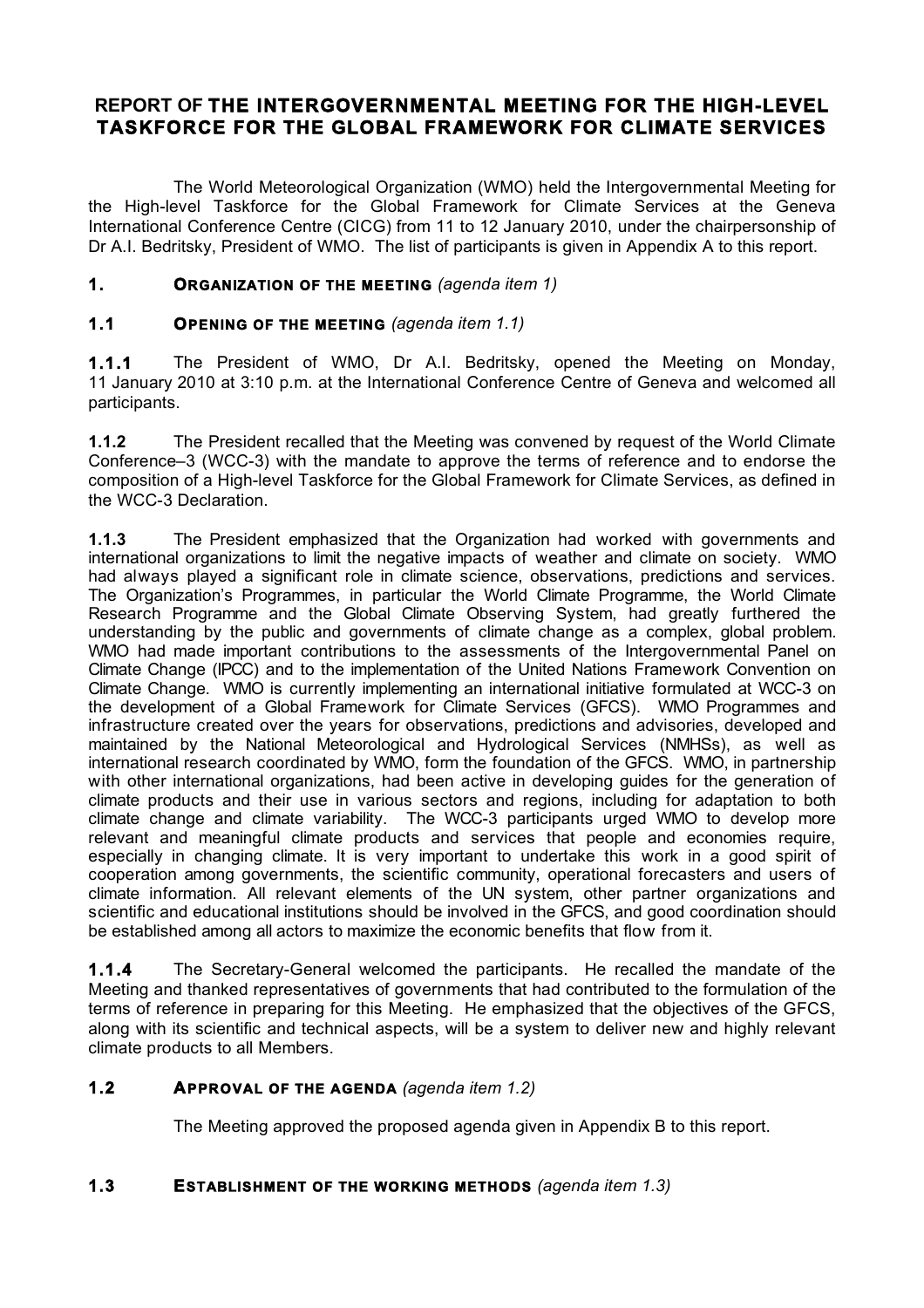# **REPORT OF THE INTERGOVERNMENTAL MEETING FOR THE HIGH-LEVEL TASKFORCE FOR THE GLOBAL FRAMEWORK FOR CLIMATE SERVICES**

The World Meteorological Organization (WMO) held the Intergovernmental Meeting for the High-level Taskforce for the Global Framework for Climate Services at the Geneva International Conference Centre (CICG) from 11 to 12 January 2010, under the chairpersonship of Dr A.I. Bedritsky, President of WMO. The list of participants is given in Appendix A to this report.

#### **1. ORGANIZATION OF THE MEETING** *(agenda item 1)*

# **1.1 OPENING OF THE MEETING** *(agenda item 1.1)*

**1.1.1** The President of WMO, Dr A.I. Bedritsky, opened the Meeting on Monday, 11 January 2010 at 3:10 p.m. at the International Conference Centre of Geneva and welcomed all participants.

**1.1.2** The President recalled that the Meeting was convened by request of the World Climate Conference–3 (WCC-3) with the mandate to approve the terms of reference and to endorse the composition of a High-level Taskforce for the Global Framework for Climate Services, as defined in the WCC-3 Declaration.

**1.1.3** The President emphasized that the Organization had worked with governments and international organizations to limit the negative impacts of weather and climate on society. WMO had always played a significant role in climate science, observations, predictions and services. The Organization's Programmes, in particular the World Climate Programme, the World Climate Research Programme and the Global Climate Observing System, had greatly furthered the understanding by the public and governments of climate change as a complex, global problem. WMO had made important contributions to the assessments of the Intergovernmental Panel on Climate Change (IPCC) and to the implementation of the United Nations Framework Convention on Climate Change. WMO is currently implementing an international initiative formulated at WCC-3 on the development of a Global Framework for Climate Services (GFCS). WMO Programmes and infrastructure created over the years for observations, predictions and advisories, developed and maintained by the National Meteorological and Hydrological Services (NMHSs), as well as international research coordinated by WMO, form the foundation of the GFCS. WMO, in partnership with other international organizations, had been active in developing guides for the generation of climate products and their use in various sectors and regions, including for adaptation to both climate change and climate variability. The WCC-3 participants urged WMO to develop more relevant and meaningful climate products and services that people and economies require, especially in changing climate. It is very important to undertake this work in a good spirit of cooperation among governments, the scientific community, operational forecasters and users of climate information. All relevant elements of the UN system, other partner organizations and scientific and educational institutions should be involved in the GFCS, and good coordination should be established among all actors to maximize the economic benefits that flow from it.

**1.1.4** The Secretary-General welcomed the participants. He recalled the mandate of the Meeting and thanked representatives of governments that had contributed to the formulation of the terms of reference in preparing for this Meeting. He emphasized that the objectives of the GFCS, along with its scientific and technical aspects, will be a system to deliver new and highly relevant climate products to all Members.

#### **1.2 APPROVAL OF THE AGENDA** *(agenda item 1.2)*

The Meeting approved the proposed agenda given in Appendix B to this report.

#### **1.3 ESTABLISHMENT OF THE WORKING METHODS** *(agenda item 1.3)*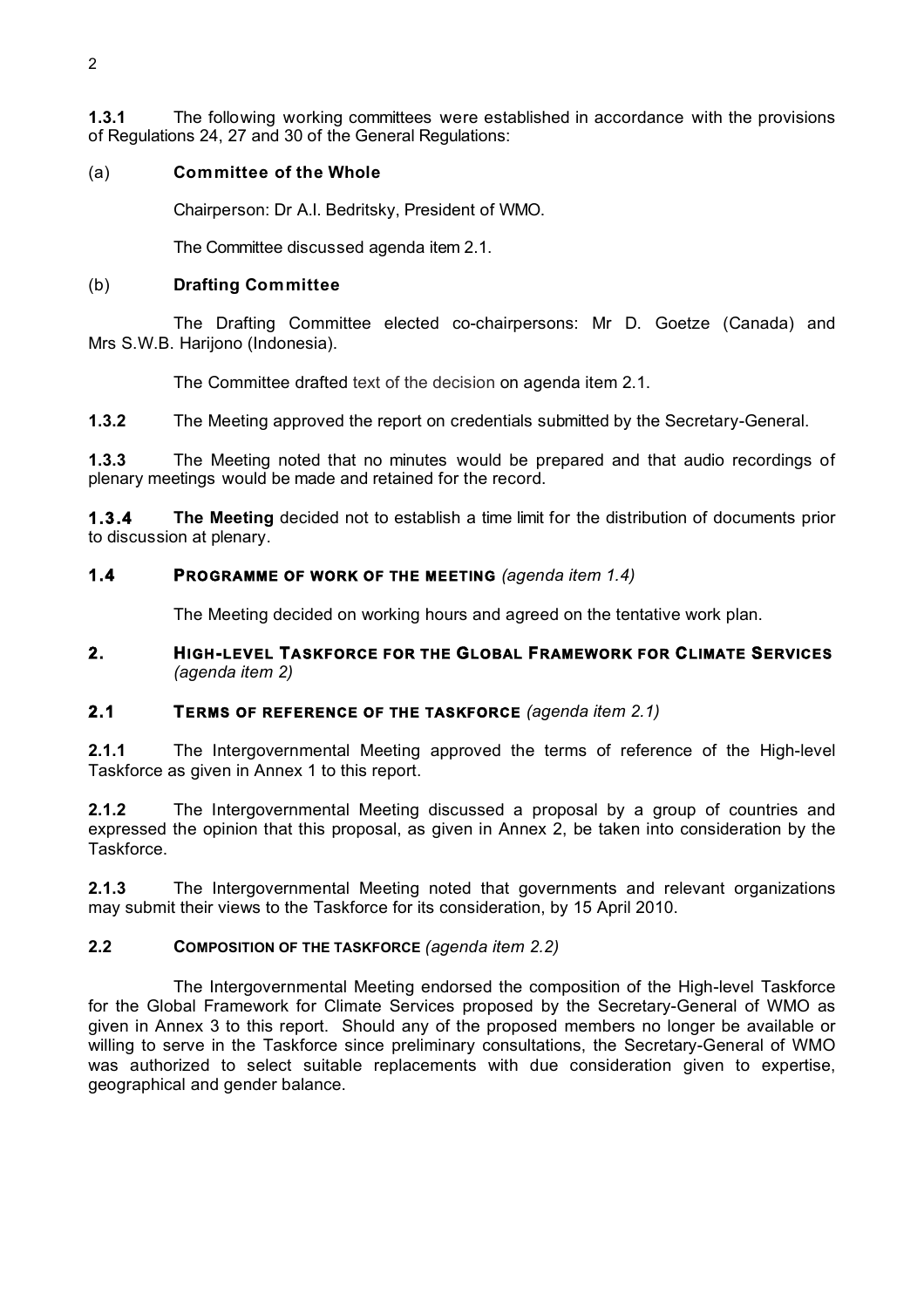**1.3.1** The following working committees were established in accordance with the provisions of Regulations 24, 27 and 30 of the General Regulations:

#### (a) **Committee of the Whole**

Chairperson: Dr A.I. Bedritsky, President of WMO.

The Committee discussed agenda item 2.1.

#### (b) **Drafting Committee**

The Drafting Committee elected co-chairpersons: Mr D. Goetze (Canada) and Mrs S.W.B. Harijono (Indonesia).

The Committee drafted text of the decision on agenda item 2.1.

**1.3.2** The Meeting approved the report on credentials submitted by the Secretary-General.

**1.3.3** The Meeting noted that no minutes would be prepared and that audio recordings of plenary meetings would be made and retained for the record.

**1.3.4 The Meeting** decided not to establish a time limit for the distribution of documents prior to discussion at plenary.

#### **1.4 PROGRAMME OF WORK OF THE MEETING** *(agenda item 1.4)*

The Meeting decided on working hours and agreed on the tentative work plan.

#### **2. HIGH-LEVEL TASKFORCE FOR THE GLOBAL FRAMEWORK FOR CLIMATE SERVICES** *(agenda item 2)*

#### **2.1 TERMS OF REFERENCE OF THE TASKFORCE** *(agenda item 2.1)*

**2.1.1** The Intergovernmental Meeting approved the terms of reference of the High-level Taskforce as given in Annex 1 to this report.

**2.1.2** The Intergovernmental Meeting discussed a proposal by a group of countries and expressed the opinion that this proposal, as given in Annex 2, be taken into consideration by the Taskforce.

**2.1.3** The Intergovernmental Meeting noted that governments and relevant organizations may submit their views to the Taskforce for its consideration, by 15 April 2010.

#### **2.2 COMPOSITION OF THE TASKFORCE** *(agenda item 2.2)*

The Intergovernmental Meeting endorsed the composition of the High-level Taskforce for the Global Framework for Climate Services proposed by the Secretary-General of WMO as given in Annex 3 to this report. Should any of the proposed members no longer be available or willing to serve in the Taskforce since preliminary consultations, the Secretary-General of WMO was authorized to select suitable replacements with due consideration given to expertise, geographical and gender balance.

 $\mathfrak{p}$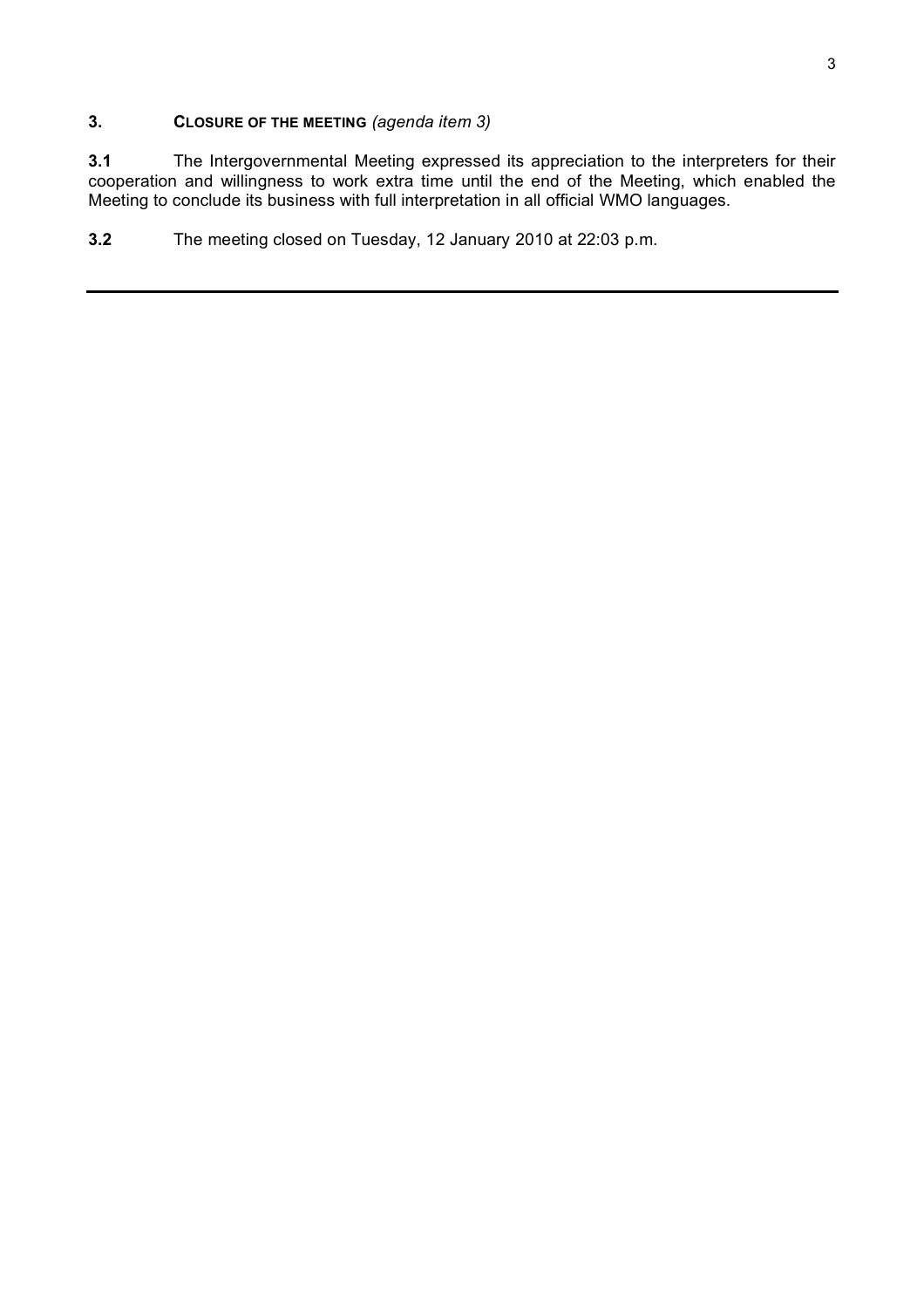#### **3. CLOSURE OF THE MEETING** *(agenda item 3)*

**3.1** The Intergovernmental Meeting expressed its appreciation to the interpreters for their cooperation and willingness to work extra time until the end of the Meeting, which enabled the Meeting to conclude its business with full interpretation in all official WMO languages.

**3.2** The meeting closed on Tuesday, 12 January 2010 at 22:03 p.m.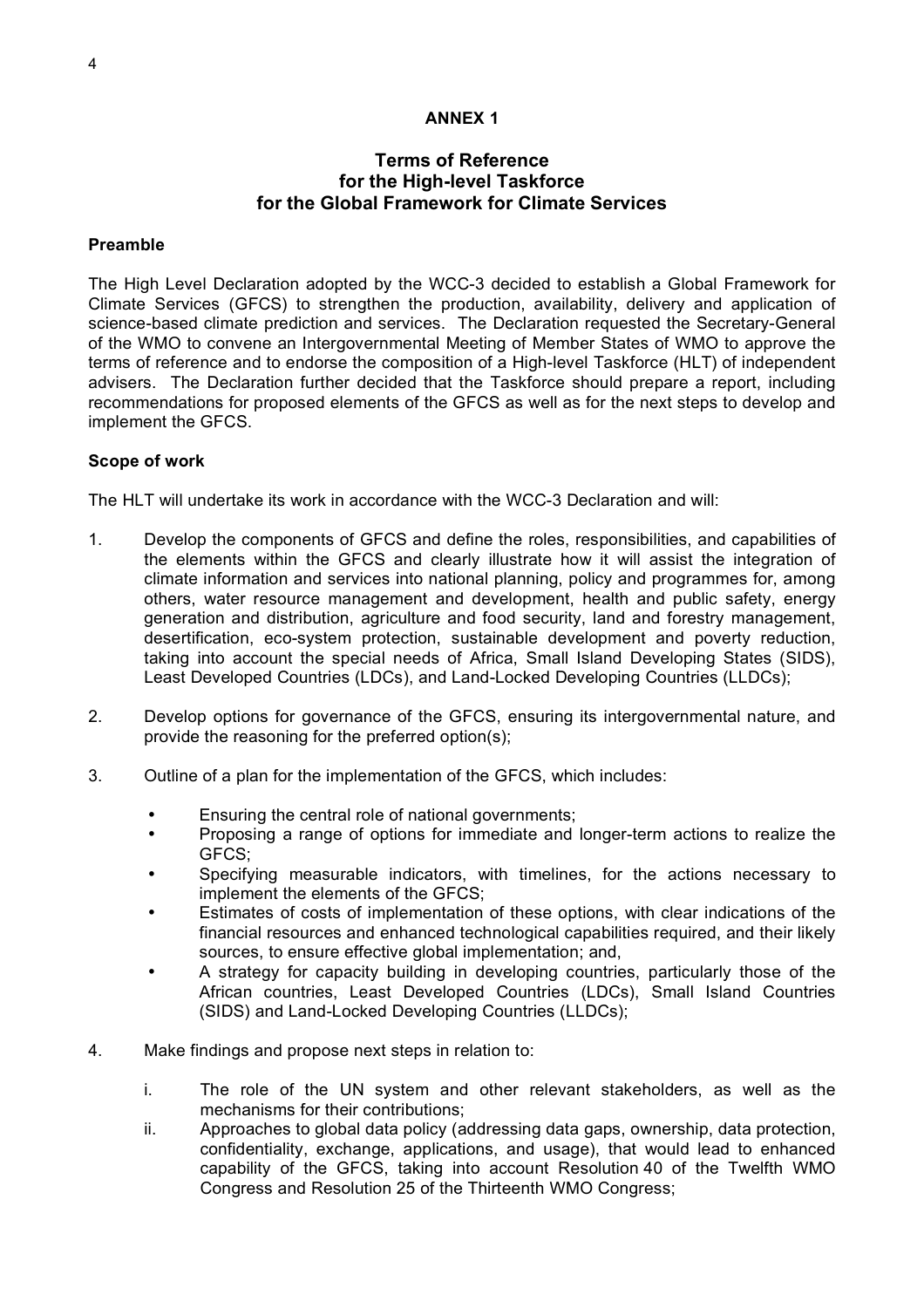#### **ANNEX 1**

#### **Terms of Reference for the High-level Taskforce for the Global Framework for Climate Services**

#### **Preamble**

The High Level Declaration adopted by the WCC-3 decided to establish a Global Framework for Climate Services (GFCS) to strengthen the production, availability, delivery and application of science-based climate prediction and services. The Declaration requested the Secretary-General of the WMO to convene an Intergovernmental Meeting of Member States of WMO to approve the terms of reference and to endorse the composition of a High-level Taskforce (HLT) of independent advisers. The Declaration further decided that the Taskforce should prepare a report, including recommendations for proposed elements of the GFCS as well as for the next steps to develop and implement the GFCS.

#### **Scope of work**

The HLT will undertake its work in accordance with the WCC-3 Declaration and will:

- 1. Develop the components of GFCS and define the roles, responsibilities, and capabilities of the elements within the GFCS and clearly illustrate how it will assist the integration of climate information and services into national planning, policy and programmes for, among others, water resource management and development, health and public safety, energy generation and distribution, agriculture and food security, land and forestry management, desertification, eco-system protection, sustainable development and poverty reduction, taking into account the special needs of Africa, Small Island Developing States (SIDS), Least Developed Countries (LDCs), and Land-Locked Developing Countries (LLDCs);
- 2. Develop options for governance of the GFCS, ensuring its intergovernmental nature, and provide the reasoning for the preferred option(s);
- 3. Outline of a plan for the implementation of the GFCS, which includes:
	- Ensuring the central role of national governments;
	- Proposing a range of options for immediate and longer-term actions to realize the GFCS;
	- Specifying measurable indicators, with timelines, for the actions necessary to implement the elements of the GFCS;
	- Estimates of costs of implementation of these options, with clear indications of the financial resources and enhanced technological capabilities required, and their likely sources, to ensure effective global implementation; and,
	- A strategy for capacity building in developing countries, particularly those of the African countries, Least Developed Countries (LDCs), Small Island Countries (SIDS) and Land-Locked Developing Countries (LLDCs);
- 4. Make findings and propose next steps in relation to:
	- i. The role of the UN system and other relevant stakeholders, as well as the mechanisms for their contributions;
	- ii. Approaches to global data policy (addressing data gaps, ownership, data protection, confidentiality, exchange, applications, and usage), that would lead to enhanced capability of the GFCS, taking into account Resolution 40 of the Twelfth WMO Congress and Resolution 25 of the Thirteenth WMO Congress;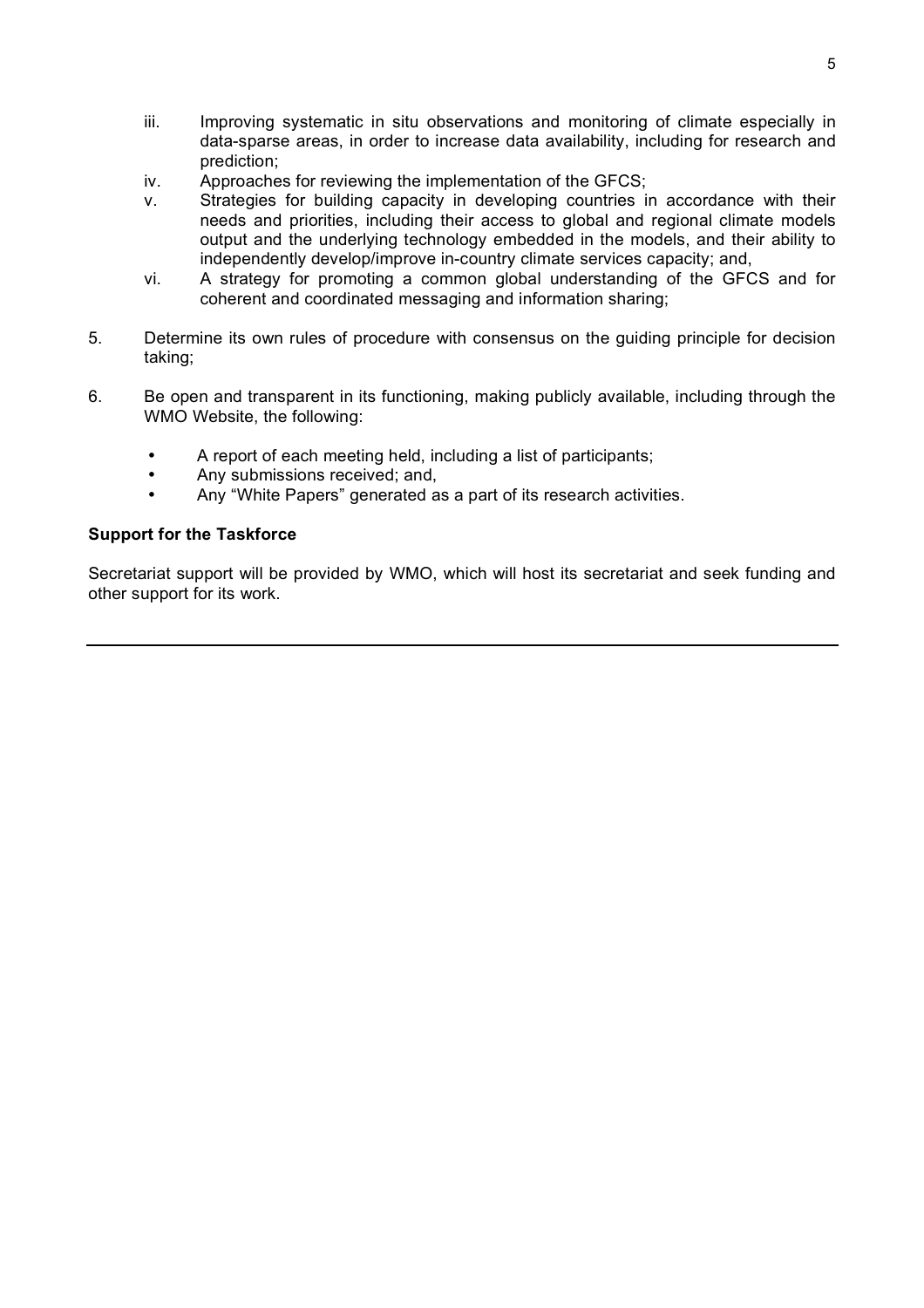- iii. Improving systematic in situ observations and monitoring of climate especially in data-sparse areas, in order to increase data availability, including for research and prediction;
- iv. Approaches for reviewing the implementation of the GFCS;
- v. Strategies for building capacity in developing countries in accordance with their needs and priorities, including their access to global and regional climate models output and the underlying technology embedded in the models, and their ability to independently develop/improve in-country climate services capacity; and,
- vi. A strategy for promoting a common global understanding of the GFCS and for coherent and coordinated messaging and information sharing;
- 5. Determine its own rules of procedure with consensus on the guiding principle for decision taking;
- 6. Be open and transparent in its functioning, making publicly available, including through the WMO Website, the following:
	- A report of each meeting held, including a list of participants;
	- Any submissions received; and,
	- Any "White Papers" generated as a part of its research activities.

#### **Support for the Taskforce**

Secretariat support will be provided by WMO, which will host its secretariat and seek funding and other support for its work.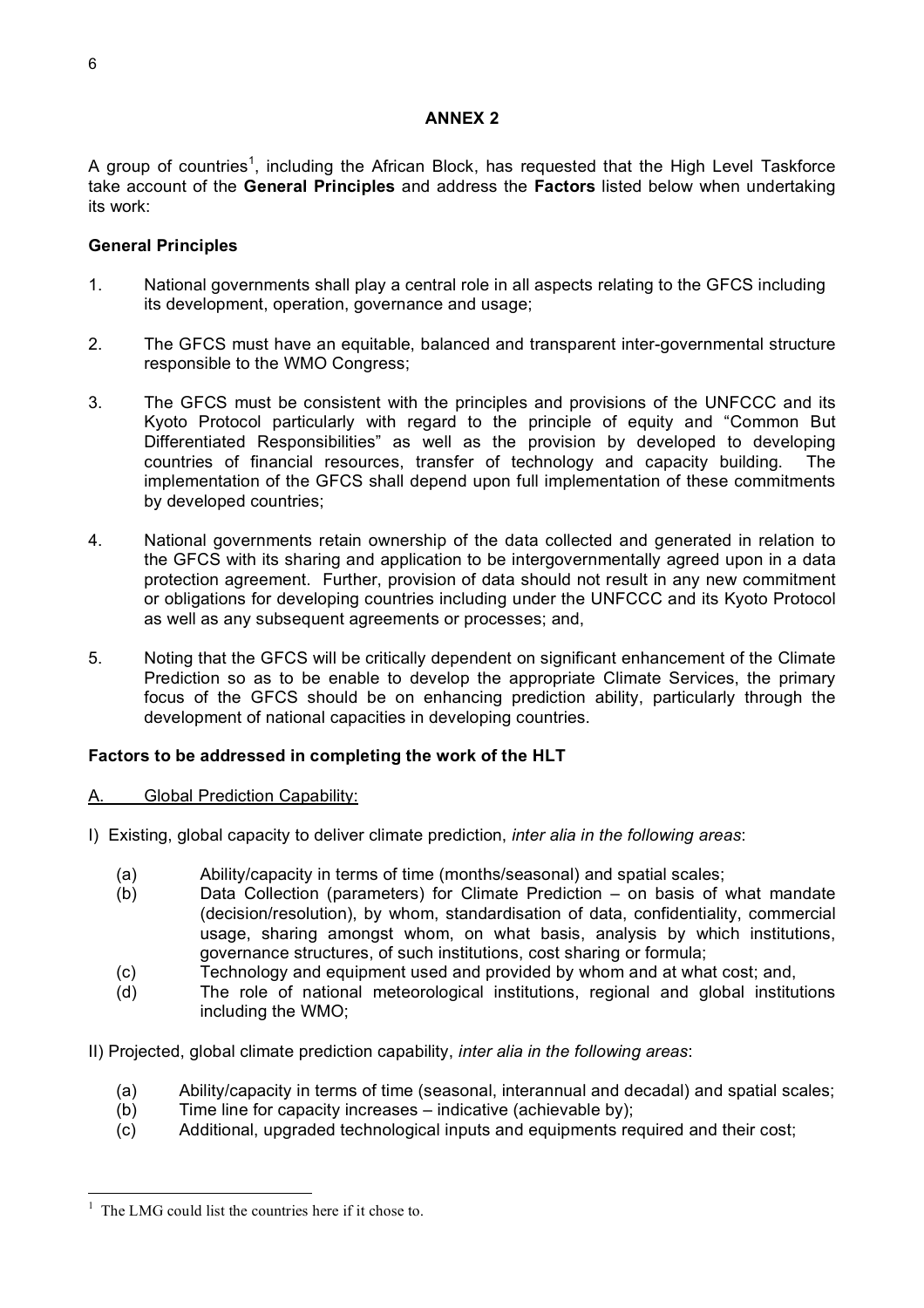#### **ANNEX 2**

A group of countries<sup>1</sup>, including the African Block, has requested that the High Level Taskforce take account of the **General Principles** and address the **Factors** listed below when undertaking its work:

#### **General Principles**

- 1. National governments shall play a central role in all aspects relating to the GFCS including its development, operation, governance and usage;
- 2. The GFCS must have an equitable, balanced and transparent inter-governmental structure responsible to the WMO Congress;
- 3. The GFCS must be consistent with the principles and provisions of the UNFCCC and its Kyoto Protocol particularly with regard to the principle of equity and "Common But Differentiated Responsibilities" as well as the provision by developed to developing countries of financial resources, transfer of technology and capacity building. The implementation of the GFCS shall depend upon full implementation of these commitments by developed countries;
- 4. National governments retain ownership of the data collected and generated in relation to the GFCS with its sharing and application to be intergovernmentally agreed upon in a data protection agreement. Further, provision of data should not result in any new commitment or obligations for developing countries including under the UNFCCC and its Kyoto Protocol as well as any subsequent agreements or processes; and,
- 5. Noting that the GFCS will be critically dependent on significant enhancement of the Climate Prediction so as to be enable to develop the appropriate Climate Services, the primary focus of the GFCS should be on enhancing prediction ability, particularly through the development of national capacities in developing countries.

#### **Factors to be addressed in completing the work of the HLT**

- A. Global Prediction Capability:
- I) Existing, global capacity to deliver climate prediction, *inter alia in the following areas*:
	- (a) Ability/capacity in terms of time (months/seasonal) and spatial scales;
	- (b) Data Collection (parameters) for Climate Prediction on basis of what mandate (decision/resolution), by whom, standardisation of data, confidentiality, commercial usage, sharing amongst whom, on what basis, analysis by which institutions, governance structures, of such institutions, cost sharing or formula;
	- (c) Technology and equipment used and provided by whom and at what cost; and,
	- (d) The role of national meteorological institutions, regional and global institutions including the WMO;
- II) Projected, global climate prediction capability, *inter alia in the following areas*:
	- (a) Ability/capacity in terms of time (seasonal, interannual and decadal) and spatial scales;
	- (b) Time line for capacity increases indicative (achievable by);
	- (c) Additional, upgraded technological inputs and equipments required and their cost;

 $1$  The LMG could list the countries here if it chose to.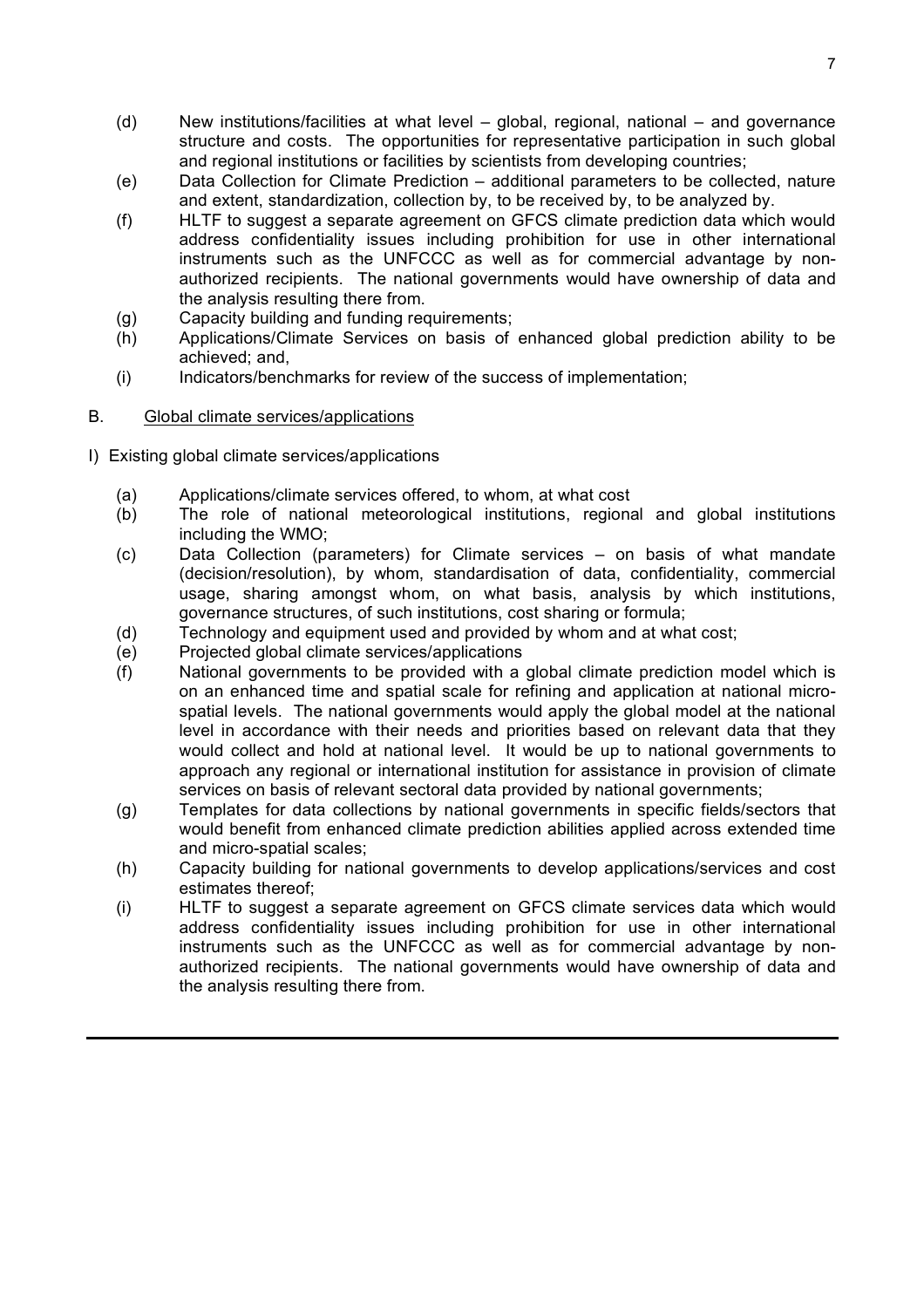- (d) New institutions/facilities at what level global, regional, national and governance structure and costs. The opportunities for representative participation in such global and regional institutions or facilities by scientists from developing countries;
- (e) Data Collection for Climate Prediction additional parameters to be collected, nature and extent, standardization, collection by, to be received by, to be analyzed by.
- (f) HLTF to suggest a separate agreement on GFCS climate prediction data which would address confidentiality issues including prohibition for use in other international instruments such as the UNFCCC as well as for commercial advantage by nonauthorized recipients. The national governments would have ownership of data and the analysis resulting there from.
- (g) Capacity building and funding requirements;
- (h) Applications/Climate Services on basis of enhanced global prediction ability to be achieved; and,
- (i) Indicators/benchmarks for review of the success of implementation;

#### B. Global climate services/applications

- I) Existing global climate services/applications
	- (a) Applications/climate services offered, to whom, at what cost
	- (b) The role of national meteorological institutions, regional and global institutions including the WMO;
	- (c) Data Collection (parameters) for Climate services on basis of what mandate (decision/resolution), by whom, standardisation of data, confidentiality, commercial usage, sharing amongst whom, on what basis, analysis by which institutions, governance structures, of such institutions, cost sharing or formula;
	- (d) Technology and equipment used and provided by whom and at what cost;
	- (e) Projected global climate services/applications
	- (f) National governments to be provided with a global climate prediction model which is on an enhanced time and spatial scale for refining and application at national microspatial levels. The national governments would apply the global model at the national level in accordance with their needs and priorities based on relevant data that they would collect and hold at national level. It would be up to national governments to approach any regional or international institution for assistance in provision of climate services on basis of relevant sectoral data provided by national governments;
	- (g) Templates for data collections by national governments in specific fields/sectors that would benefit from enhanced climate prediction abilities applied across extended time and micro-spatial scales;
	- (h) Capacity building for national governments to develop applications/services and cost estimates thereof;
	- (i) HLTF to suggest a separate agreement on GFCS climate services data which would address confidentiality issues including prohibition for use in other international instruments such as the UNFCCC as well as for commercial advantage by nonauthorized recipients. The national governments would have ownership of data and the analysis resulting there from.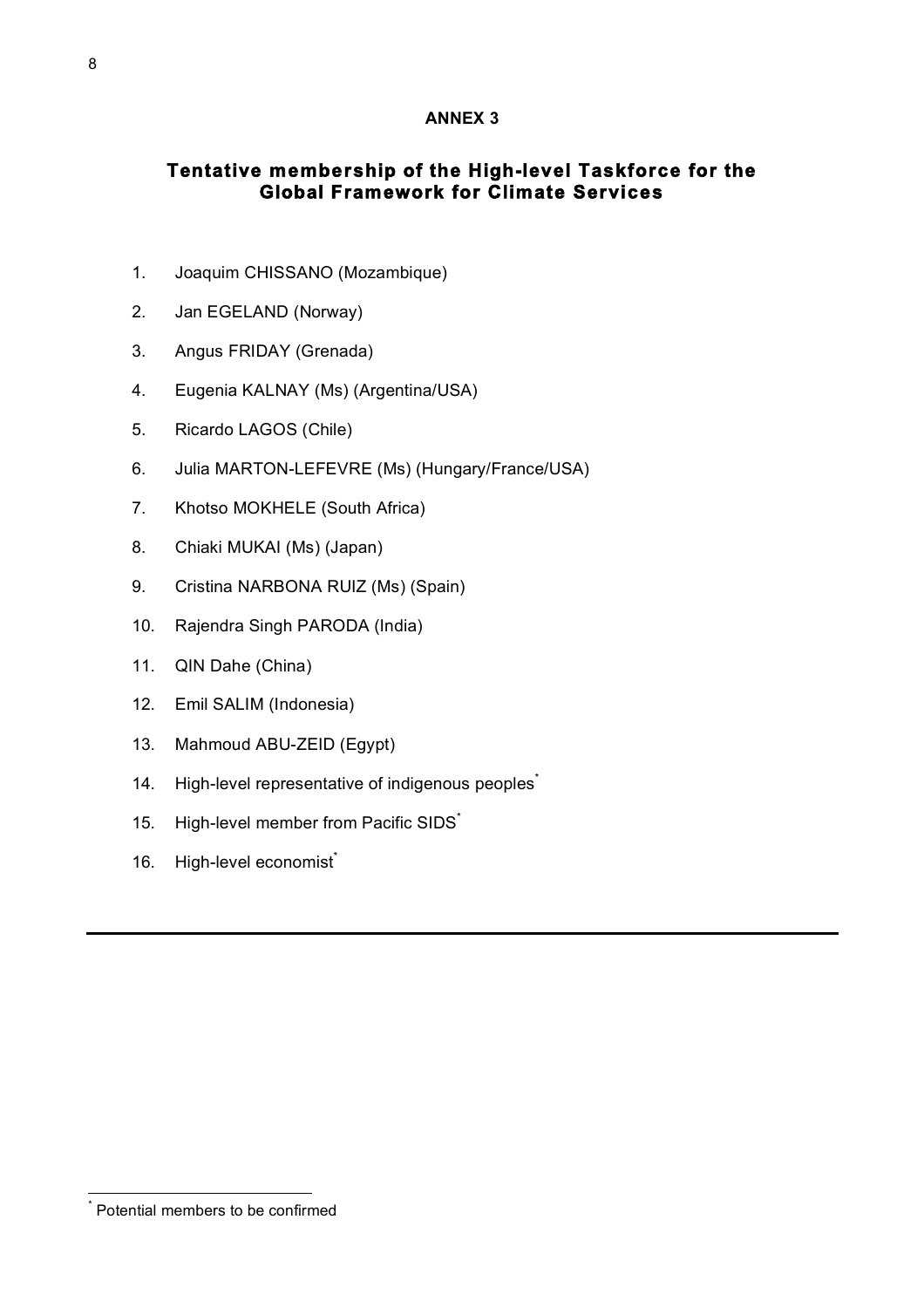#### **ANNEX 3**

# **Tentative membership of the High-level Taskforce for the Global Framework for Climate Services**

- 1. Joaquim CHISSANO (Mozambique)
- 2. Jan EGELAND (Norway)
- 3. Angus FRIDAY (Grenada)
- 4. Eugenia KALNAY (Ms) (Argentina/USA)
- 5. Ricardo LAGOS (Chile)
- 6. Julia MARTON-LEFEVRE (Ms) (Hungary/France/USA)
- 7. Khotso MOKHELE (South Africa)
- 8. Chiaki MUKAI (Ms) (Japan)
- 9. Cristina NARBONA RUIZ (Ms) (Spain)
- 10. Rajendra Singh PARODA (India)
- 11. QIN Dahe (China)
- 12. Emil SALIM (Indonesia)
- 13. Mahmoud ABU-ZEID (Egypt)
- 14. High-level representative of indigenous peoples<sup>\*</sup>
- 15. High-level member from Pacific SIDS<sup>\*</sup>
- 16. High-level economist<sup>®</sup>

\* Potential members to be confirmed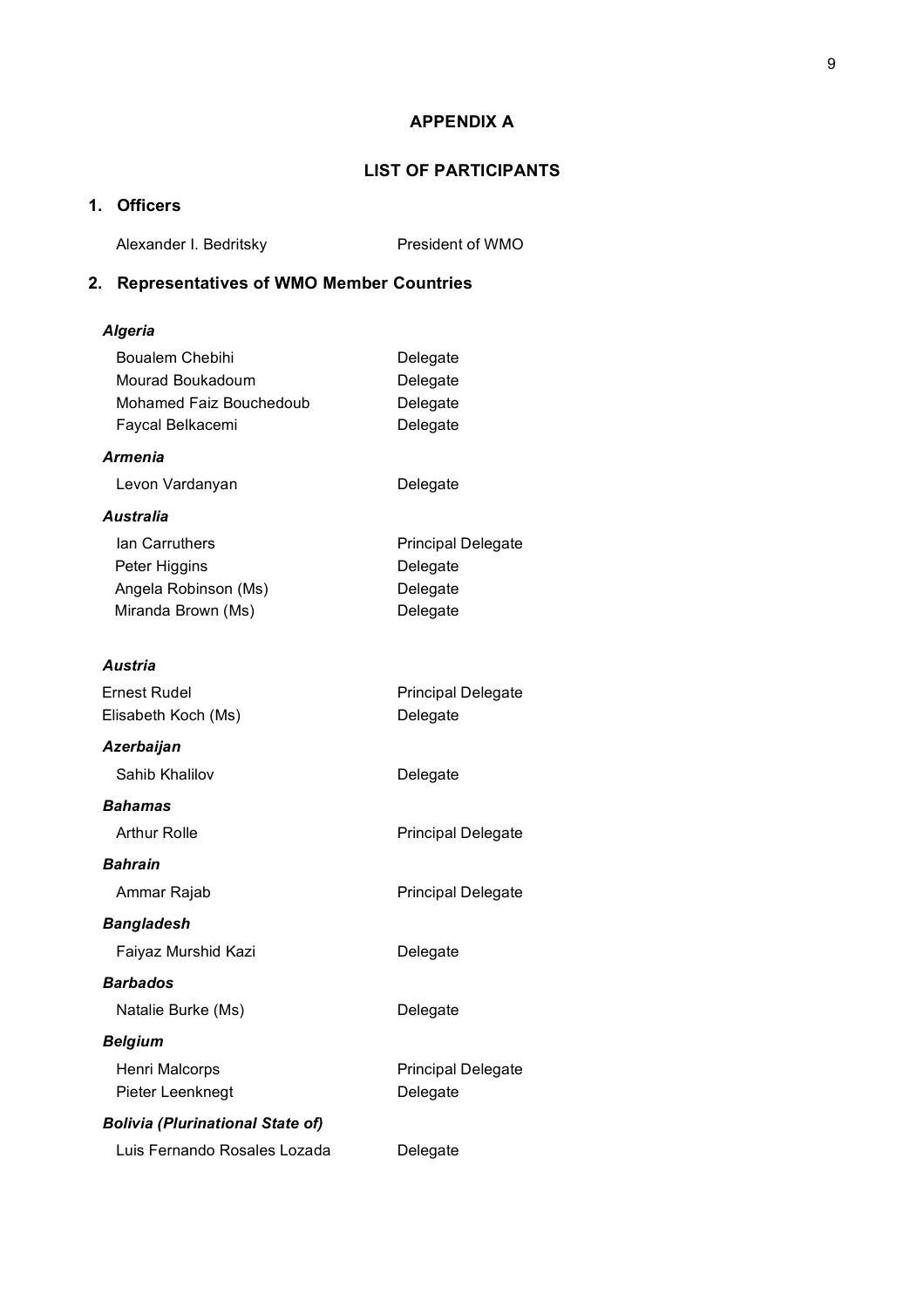#### **APPENDIX A**

### **LIST OF PARTICIPANTS**

# **1. Officers**

Alexander I. Bedritsky President of WMO

# **2. Representatives of WMO Member Countries**

#### *Algeria*

| <b>Boualem Chebihi</b>                  | Delegate                  |
|-----------------------------------------|---------------------------|
| Mourad Boukadoum                        | Delegate                  |
| Mohamed Faiz Bouchedoub                 | Delegate                  |
| Faycal Belkacemi                        | Delegate                  |
| <b>Armenia</b>                          |                           |
| Levon Vardanyan                         | Delegate                  |
| Australia                               |                           |
| lan Carruthers                          | <b>Principal Delegate</b> |
| Peter Higgins                           | Delegate                  |
| Angela Robinson (Ms)                    | Delegate                  |
| Miranda Brown (Ms)                      | Delegate                  |
| Austria                                 |                           |
| <b>Ernest Rudel</b>                     | <b>Principal Delegate</b> |
| Elisabeth Koch (Ms)                     | Delegate                  |
|                                         |                           |
| Azerbaijan                              |                           |
| Sahib Khalilov                          | Delegate                  |
| Bahamas                                 |                           |
| <b>Arthur Rolle</b>                     | <b>Principal Delegate</b> |
| <b>Bahrain</b>                          |                           |
| Ammar Rajab                             | <b>Principal Delegate</b> |
| <b>Bangladesh</b>                       |                           |
| Faiyaz Murshid Kazi                     | Delegate                  |
| <b>Barbados</b>                         |                           |
| Natalie Burke (Ms)                      | Delegate                  |
| <b>Belgium</b>                          |                           |
| Henri Malcorps                          | <b>Principal Delegate</b> |
| Pieter Leenknegt                        | Delegate                  |
| <b>Bolivia (Plurinational State of)</b> |                           |

| Luis Fernando Rosales Lozada | Delegate |
|------------------------------|----------|
|                              |          |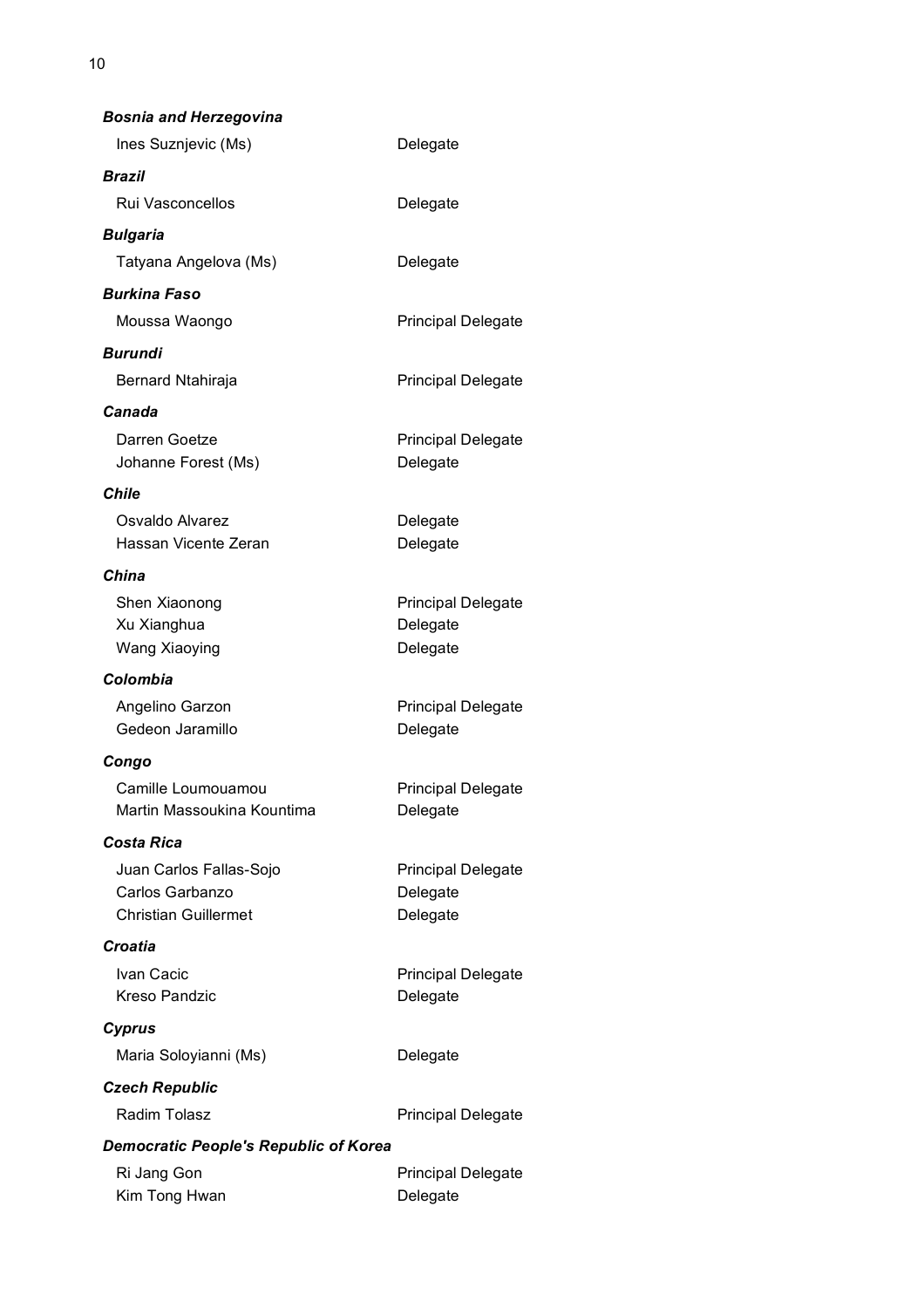| <b>Bosnia and Herzegovina</b>                                             |                                                   |
|---------------------------------------------------------------------------|---------------------------------------------------|
| Ines Suznjevic (Ms)                                                       | Delegate                                          |
| Brazil                                                                    |                                                   |
| Rui Vasconcellos                                                          | Delegate                                          |
| <b>Bulgaria</b>                                                           |                                                   |
| Tatyana Angelova (Ms)                                                     | Delegate                                          |
| Burkina Faso                                                              |                                                   |
| Moussa Waongo                                                             | <b>Principal Delegate</b>                         |
| Burundi                                                                   |                                                   |
| Bernard Ntahiraja                                                         | <b>Principal Delegate</b>                         |
| Canada                                                                    |                                                   |
| Darren Goetze<br>Johanne Forest (Ms)                                      | <b>Principal Delegate</b><br>Delegate             |
| <b>Chile</b>                                                              |                                                   |
| Osvaldo Alvarez<br>Hassan Vicente Zeran                                   | Delegate<br>Delegate                              |
| China                                                                     |                                                   |
| Shen Xiaonong                                                             | <b>Principal Delegate</b>                         |
| Xu Xianghua                                                               | Delegate                                          |
| Wang Xiaoying                                                             | Delegate                                          |
| Colombia                                                                  |                                                   |
| Angelino Garzon<br>Gedeon Jaramillo                                       | <b>Principal Delegate</b><br>Delegate             |
| Congo                                                                     |                                                   |
| Camille Loumouamou<br>Martin Massoukina Kountima                          | <b>Principal Delegate</b><br>Delegate             |
| <b>Costa Rica</b>                                                         |                                                   |
| Juan Carlos Fallas-Sojo<br>Carlos Garbanzo<br><b>Christian Guillermet</b> | <b>Principal Delegate</b><br>Delegate<br>Delegate |
| Croatia                                                                   |                                                   |
| Ivan Cacic<br><b>Kreso Pandzic</b>                                        | <b>Principal Delegate</b><br>Delegate             |
| <b>Cyprus</b>                                                             |                                                   |
| Maria Soloyianni (Ms)                                                     | Delegate                                          |
| <b>Czech Republic</b>                                                     |                                                   |
| Radim Tolasz                                                              | <b>Principal Delegate</b>                         |
| <b>Democratic People's Republic of Korea</b>                              |                                                   |
| Ri Jang Gon<br>Kim Tong Hwan                                              | <b>Principal Delegate</b><br>Delegate             |

10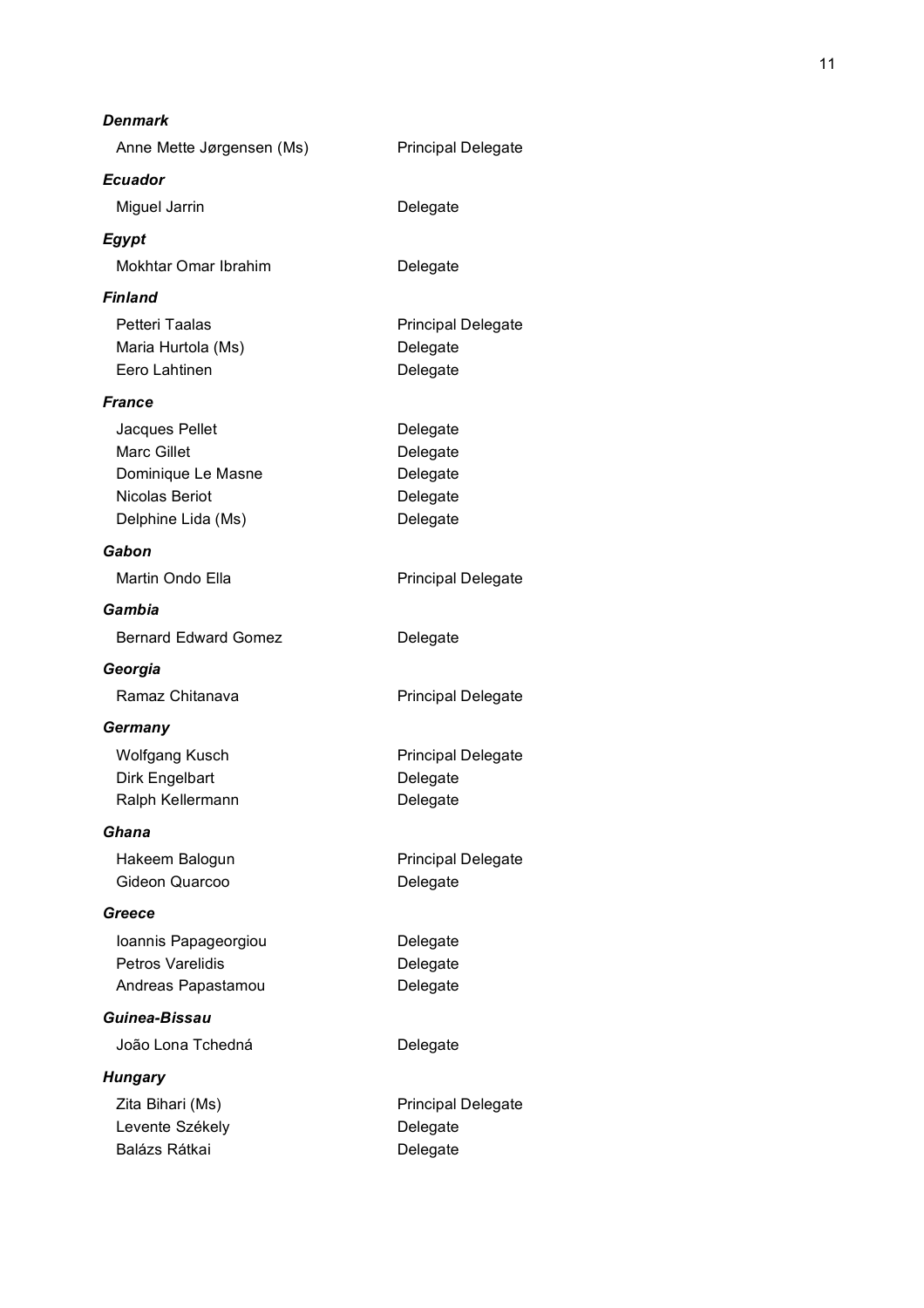| Denmark                     |                           |
|-----------------------------|---------------------------|
| Anne Mette Jørgensen (Ms)   | <b>Principal Delegate</b> |
| <b>Ecuador</b>              |                           |
| Miguel Jarrin               | Delegate                  |
| Egypt                       |                           |
| Mokhtar Omar Ibrahim        | Delegate                  |
| <b>Finland</b>              |                           |
| Petteri Taalas              | <b>Principal Delegate</b> |
| Maria Hurtola (Ms)          | Delegate                  |
| Eero Lahtinen               | Delegate                  |
| France                      |                           |
| Jacques Pellet              | Delegate                  |
| <b>Marc Gillet</b>          | Delegate                  |
| Dominique Le Masne          | Delegate                  |
| Nicolas Beriot              | Delegate                  |
| Delphine Lida (Ms)          | Delegate                  |
| Gabon                       |                           |
| Martin Ondo Ella            | <b>Principal Delegate</b> |
| Gambia                      |                           |
| <b>Bernard Edward Gomez</b> | Delegate                  |
| Georgia                     |                           |
| Ramaz Chitanava             | <b>Principal Delegate</b> |
| Germany                     |                           |
| <b>Wolfgang Kusch</b>       | <b>Principal Delegate</b> |
| Dirk Engelbart              | Delegate                  |
| Ralph Kellermann            | Delegate                  |
| Ghana                       |                           |
| Hakeem Balogun              | <b>Principal Delegate</b> |
| Gideon Quarcoo              | Delegate                  |
| Greece                      |                           |
| Ioannis Papageorgiou        | Delegate                  |
| Petros Varelidis            | Delegate                  |
| Andreas Papastamou          | Delegate                  |
| Guinea-Bissau               |                           |
| João Lona Tchedná           | Delegate                  |
| Hungary                     |                           |
| Zita Bihari (Ms)            | <b>Principal Delegate</b> |
| Levente Székely             | Delegate                  |
| Balázs Rátkai               | Delegate                  |
|                             |                           |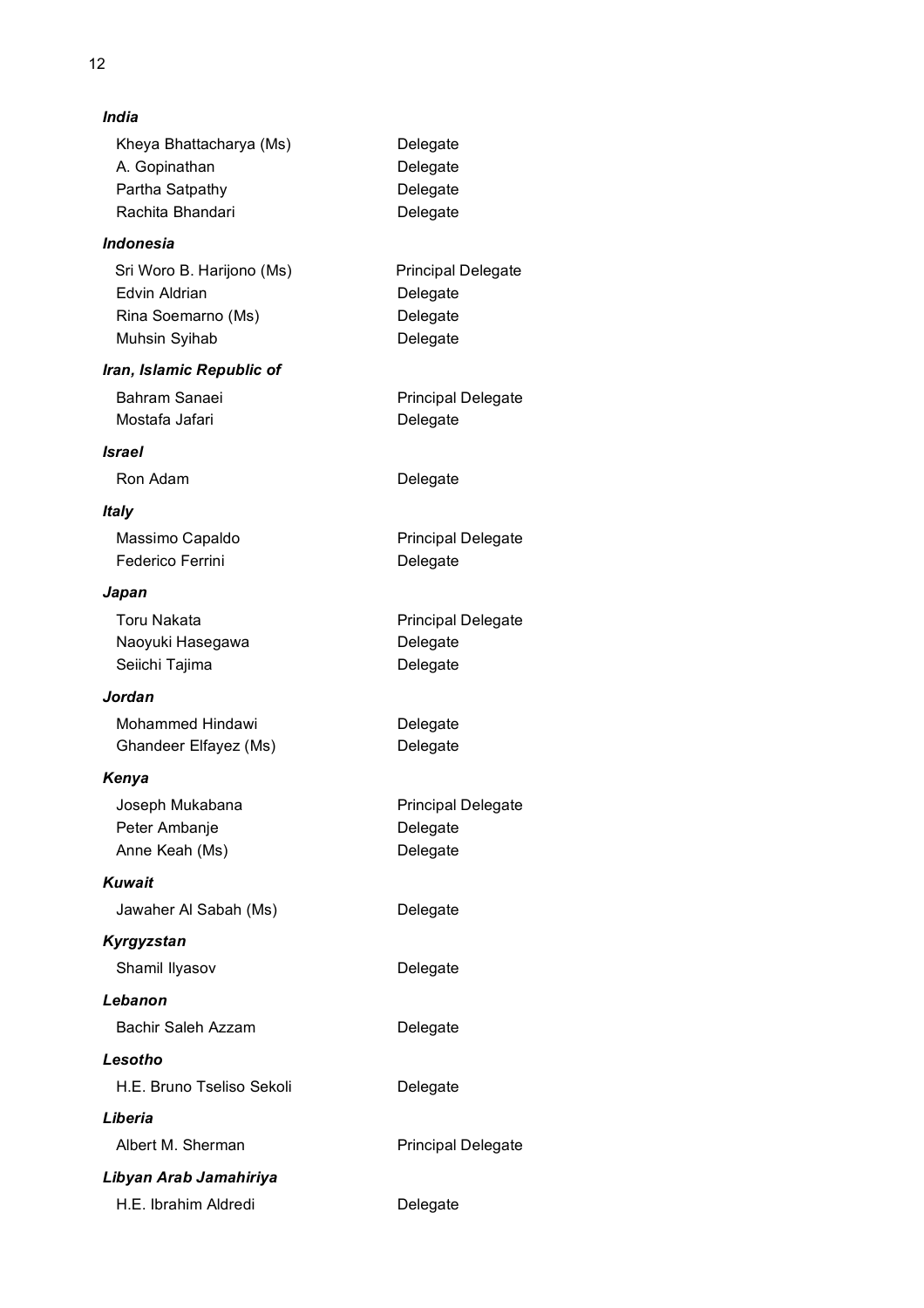| India                                                                             |                                                               |
|-----------------------------------------------------------------------------------|---------------------------------------------------------------|
| Kheya Bhattacharya (Ms)<br>A. Gopinathan<br>Partha Satpathy<br>Rachita Bhandari   | Delegate<br>Delegate<br>Delegate<br>Delegate                  |
| <i><b>Indonesia</b></i>                                                           |                                                               |
| Sri Woro B. Harijono (Ms)<br>Edvin Aldrian<br>Rina Soemarno (Ms)<br>Muhsin Syihab | <b>Principal Delegate</b><br>Delegate<br>Delegate<br>Delegate |
| Iran, Islamic Republic of                                                         |                                                               |
| Bahram Sanaei<br>Mostafa Jafari                                                   | <b>Principal Delegate</b><br>Delegate                         |
| <b>Israel</b>                                                                     |                                                               |
| Ron Adam                                                                          | Delegate                                                      |
| Italy                                                                             |                                                               |
| Massimo Capaldo<br>Federico Ferrini                                               | <b>Principal Delegate</b><br>Delegate                         |
| Japan                                                                             |                                                               |
| <b>Toru Nakata</b><br>Naoyuki Hasegawa<br>Seiichi Tajima                          | <b>Principal Delegate</b><br>Delegate<br>Delegate             |
| Jordan                                                                            |                                                               |
| <b>Mohammed Hindawi</b><br>Ghandeer Elfayez (Ms)                                  | Delegate<br>Delegate                                          |
| Kenya                                                                             |                                                               |
| Joseph Mukabana<br>Peter Ambanje<br>Anne Keah (Ms)                                | <b>Principal Delegate</b><br>Delegate<br>Delegate             |
| <b>Kuwait</b>                                                                     |                                                               |
| Jawaher Al Sabah (Ms)                                                             | Delegate                                                      |
| Kyrgyzstan                                                                        |                                                               |
| Shamil Ilyasov                                                                    | Delegate                                                      |
| Lebanon                                                                           |                                                               |
| Bachir Saleh Azzam                                                                | Delegate                                                      |
| Lesotho                                                                           |                                                               |
| H.E. Bruno Tseliso Sekoli                                                         | Delegate                                                      |
| Liberia                                                                           |                                                               |
| Albert M. Sherman                                                                 | <b>Principal Delegate</b>                                     |
| Libyan Arab Jamahiriya                                                            |                                                               |
| H.E. Ibrahim Aldredi                                                              | Delegate                                                      |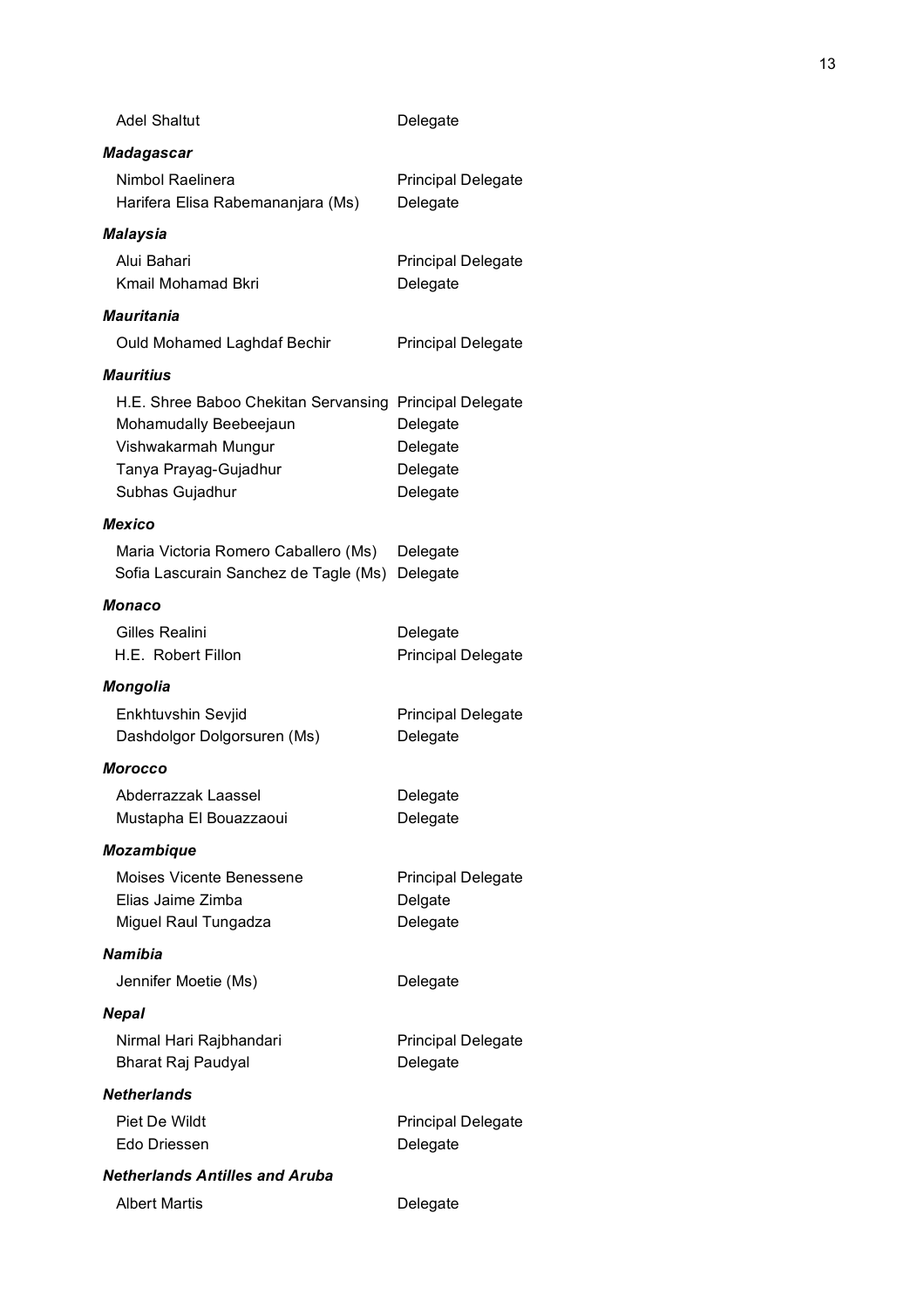| <b>Adel Shaltut</b>                                                                                                                                  | Delegate                                         |
|------------------------------------------------------------------------------------------------------------------------------------------------------|--------------------------------------------------|
| Madagascar                                                                                                                                           |                                                  |
| Nimbol Raelinera<br>Harifera Elisa Rabemananjara (Ms)                                                                                                | <b>Principal Delegate</b><br>Delegate            |
| Malaysia                                                                                                                                             |                                                  |
| Alui Bahari<br>Kmail Mohamad Bkri                                                                                                                    | <b>Principal Delegate</b><br>Delegate            |
| <b>Mauritania</b>                                                                                                                                    |                                                  |
| Ould Mohamed Laghdaf Bechir                                                                                                                          | <b>Principal Delegate</b>                        |
| <b>Mauritius</b>                                                                                                                                     |                                                  |
| H.E. Shree Baboo Chekitan Servansing Principal Delegate<br>Mohamudally Beebeejaun<br>Vishwakarmah Mungur<br>Tanya Prayag-Gujadhur<br>Subhas Gujadhur | Delegate<br>Delegate<br>Delegate<br>Delegate     |
| <b>Mexico</b>                                                                                                                                        |                                                  |
| Maria Victoria Romero Caballero (Ms)<br>Sofia Lascurain Sanchez de Tagle (Ms)                                                                        | Delegate<br>Delegate                             |
| Monaco                                                                                                                                               |                                                  |
| Gilles Realini<br>H.E. Robert Fillon                                                                                                                 | Delegate<br><b>Principal Delegate</b>            |
| <b>Mongolia</b>                                                                                                                                      |                                                  |
| Enkhtuvshin Sevjid<br>Dashdolgor Dolgorsuren (Ms)                                                                                                    | <b>Principal Delegate</b><br>Delegate            |
| Morocco                                                                                                                                              |                                                  |
| Abderrazzak Laassel<br>Mustapha El Bouazzaoui                                                                                                        | Delegate<br>Delegate                             |
| <b>Mozambique</b>                                                                                                                                    |                                                  |
| <b>Moises Vicente Benessene</b><br>Elias Jaime Zimba<br>Miguel Raul Tungadza                                                                         | <b>Principal Delegate</b><br>Delgate<br>Delegate |
| <b>Namibia</b>                                                                                                                                       |                                                  |
| Jennifer Moetie (Ms)                                                                                                                                 | Delegate                                         |
| <b>Nepal</b>                                                                                                                                         |                                                  |
| Nirmal Hari Rajbhandari<br><b>Bharat Raj Paudyal</b>                                                                                                 | <b>Principal Delegate</b><br>Delegate            |
| <b>Netherlands</b>                                                                                                                                   |                                                  |
| Piet De Wildt<br>Edo Driessen                                                                                                                        | <b>Principal Delegate</b><br>Delegate            |
| <b>Netherlands Antilles and Aruba</b>                                                                                                                |                                                  |
| <b>Albert Martis</b>                                                                                                                                 | Delegate                                         |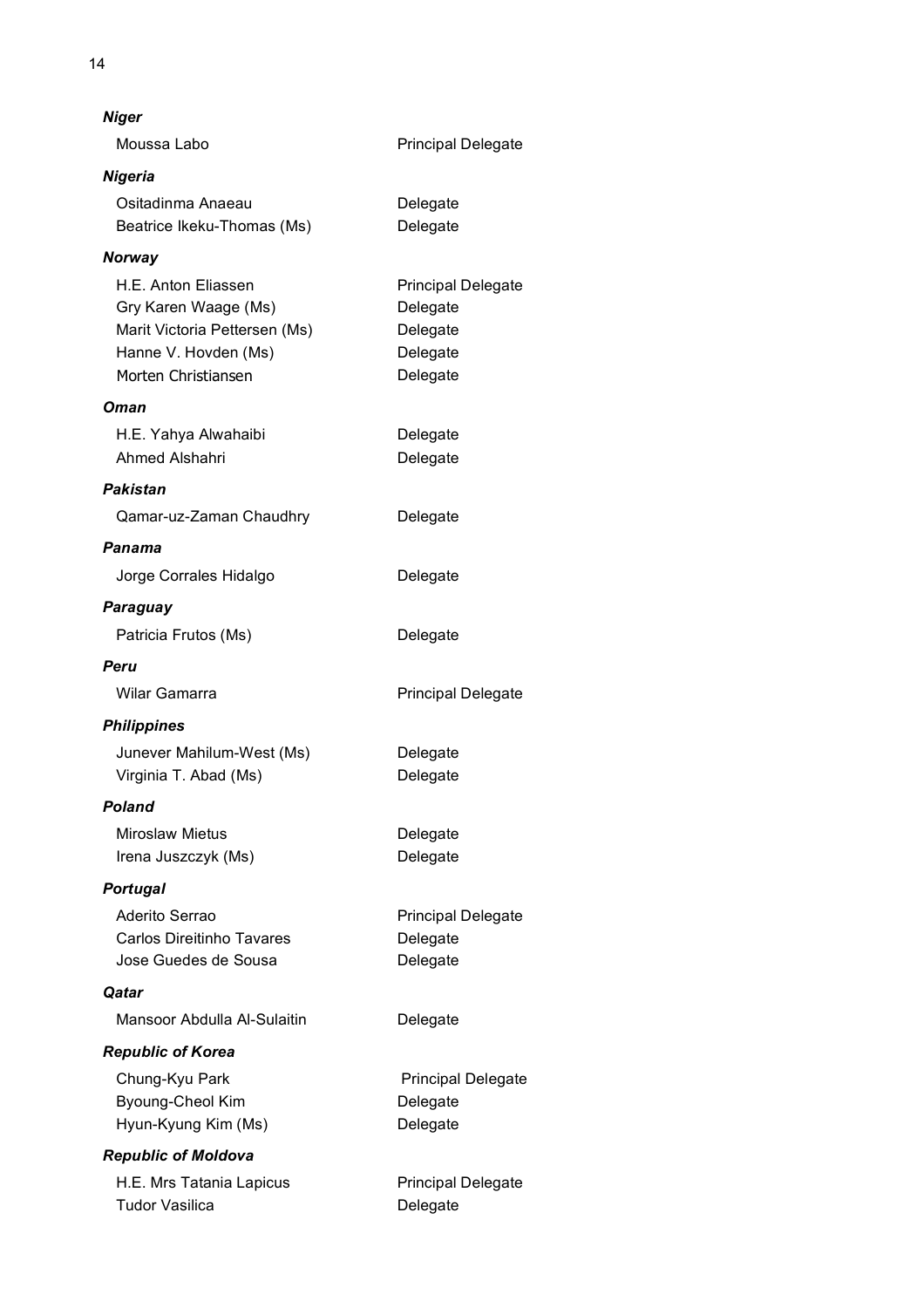| Niger                                                                                                                       |                                                                           |  |
|-----------------------------------------------------------------------------------------------------------------------------|---------------------------------------------------------------------------|--|
| Moussa Labo                                                                                                                 | <b>Principal Delegate</b>                                                 |  |
| Nigeria                                                                                                                     |                                                                           |  |
| Ositadinma Anaeau<br>Beatrice Ikeku-Thomas (Ms)                                                                             | Delegate<br>Delegate                                                      |  |
| <b>Norway</b>                                                                                                               |                                                                           |  |
| H.E. Anton Eliassen<br>Gry Karen Waage (Ms)<br>Marit Victoria Pettersen (Ms)<br>Hanne V. Hovden (Ms)<br>Morten Christiansen | <b>Principal Delegate</b><br>Delegate<br>Delegate<br>Delegate<br>Delegate |  |
| Oman                                                                                                                        |                                                                           |  |
| H.E. Yahya Alwahaibi<br>Ahmed Alshahri                                                                                      | Delegate<br>Delegate                                                      |  |
| Pakistan                                                                                                                    |                                                                           |  |
| Qamar-uz-Zaman Chaudhry                                                                                                     | Delegate                                                                  |  |
| Panama                                                                                                                      |                                                                           |  |
| Jorge Corrales Hidalgo                                                                                                      | Delegate                                                                  |  |
| Paraguay                                                                                                                    |                                                                           |  |
| Patricia Frutos (Ms)                                                                                                        | Delegate                                                                  |  |
| Peru                                                                                                                        |                                                                           |  |
| Wilar Gamarra                                                                                                               | <b>Principal Delegate</b>                                                 |  |
| <b>Philippines</b>                                                                                                          |                                                                           |  |
| Junever Mahilum-West (Ms)                                                                                                   | Delegate                                                                  |  |
| Virginia T. Abad (Ms)                                                                                                       | Delegate                                                                  |  |
| Poland                                                                                                                      |                                                                           |  |
| <b>Miroslaw Mietus</b><br>Irena Juszczyk (Ms)                                                                               | Delegate<br>Delegate                                                      |  |
| <b>Portugal</b>                                                                                                             |                                                                           |  |
| Aderito Serrao                                                                                                              | <b>Principal Delegate</b>                                                 |  |
| <b>Carlos Direitinho Tavares</b>                                                                                            | Delegate                                                                  |  |
| Jose Guedes de Sousa                                                                                                        | Delegate                                                                  |  |
| Qatar                                                                                                                       |                                                                           |  |
| Mansoor Abdulla Al-Sulaitin                                                                                                 | Delegate                                                                  |  |
| <b>Republic of Korea</b>                                                                                                    |                                                                           |  |
| Chung-Kyu Park                                                                                                              | <b>Principal Delegate</b>                                                 |  |
| Byoung-Cheol Kim<br>Hyun-Kyung Kim (Ms)                                                                                     | Delegate<br>Delegate                                                      |  |
|                                                                                                                             |                                                                           |  |
| <b>Republic of Moldova</b><br>H.E. Mrs Tatania Lapicus                                                                      | <b>Principal Delegate</b>                                                 |  |
| <b>Tudor Vasilica</b>                                                                                                       | Delegate                                                                  |  |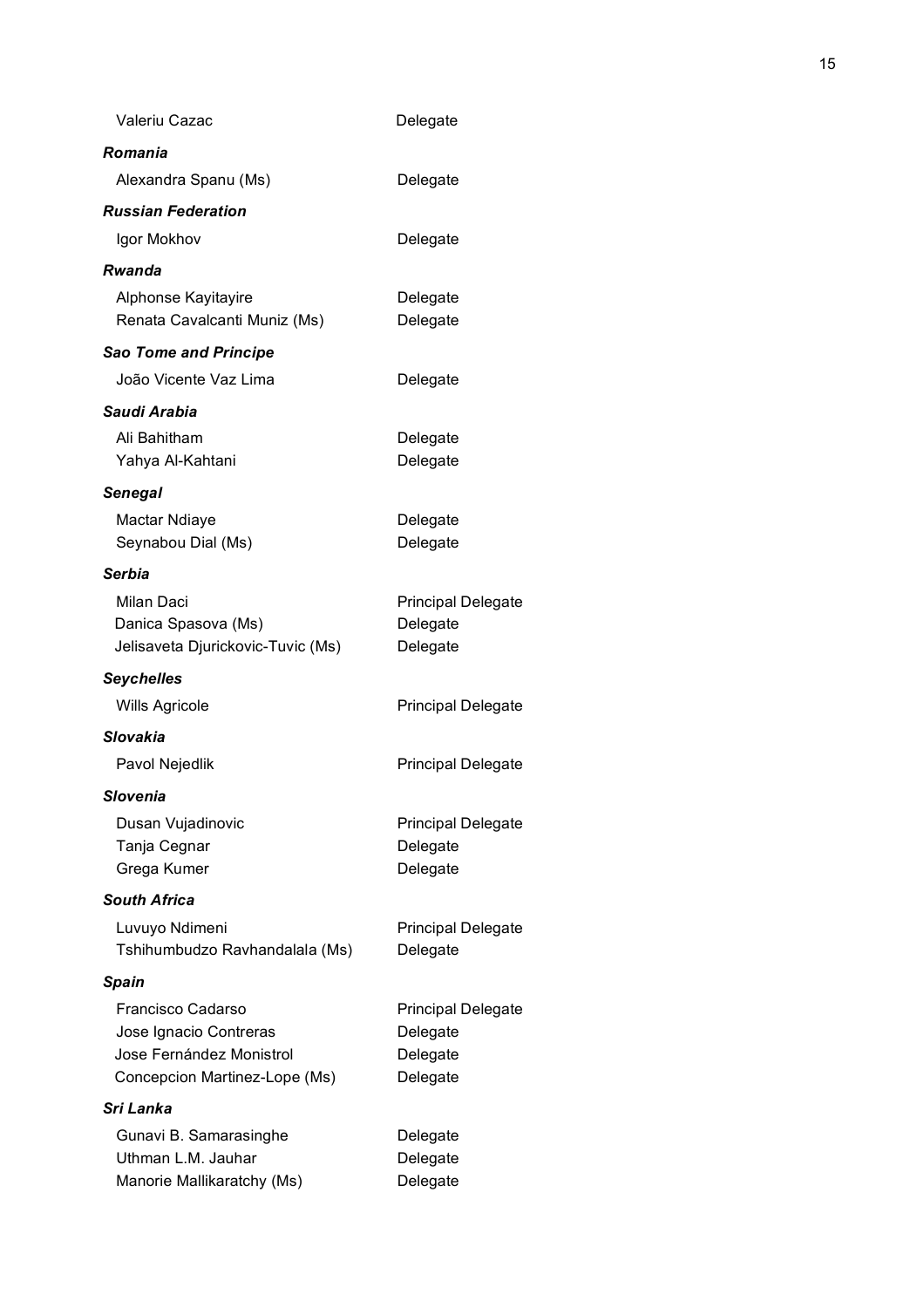| Valeriu Cazac                                                                                            | Delegate                                                      |
|----------------------------------------------------------------------------------------------------------|---------------------------------------------------------------|
| Romania                                                                                                  |                                                               |
| Alexandra Spanu (Ms)                                                                                     | Delegate                                                      |
| <b>Russian Federation</b>                                                                                |                                                               |
| Igor Mokhov                                                                                              | Delegate                                                      |
| Rwanda                                                                                                   |                                                               |
| Alphonse Kayitayire<br>Renata Cavalcanti Muniz (Ms)                                                      | Delegate<br>Delegate                                          |
| <b>Sao Tome and Principe</b>                                                                             |                                                               |
| João Vicente Vaz Lima                                                                                    | Delegate                                                      |
| Saudi Arabia                                                                                             |                                                               |
| Ali Bahitham<br>Yahya Al-Kahtani                                                                         | Delegate<br>Delegate                                          |
| <b>Senegal</b>                                                                                           |                                                               |
| Mactar Ndiaye<br>Seynabou Dial (Ms)                                                                      | Delegate<br>Delegate                                          |
| <b>Serbia</b>                                                                                            |                                                               |
| Milan Daci<br>Danica Spasova (Ms)<br>Jelisaveta Djurickovic-Tuvic (Ms)                                   | <b>Principal Delegate</b><br>Delegate<br>Delegate             |
| <b>Seychelles</b>                                                                                        |                                                               |
| <b>Wills Agricole</b>                                                                                    | <b>Principal Delegate</b>                                     |
| Slovakia                                                                                                 |                                                               |
| Pavol Nejedlik                                                                                           | <b>Principal Delegate</b>                                     |
| Slovenia                                                                                                 |                                                               |
| Dusan Vujadinovic<br>Tanja Cegnar<br>Grega Kumer                                                         | <b>Principal Delegate</b><br>Delegate<br>Delegate             |
| <b>South Africa</b>                                                                                      |                                                               |
| Luvuyo Ndimeni<br>Tshihumbudzo Ravhandalala (Ms)                                                         | <b>Principal Delegate</b><br>Delegate                         |
| <b>Spain</b>                                                                                             |                                                               |
| Francisco Cadarso<br>Jose Ignacio Contreras<br>Jose Fernández Monistrol<br>Concepcion Martinez-Lope (Ms) | <b>Principal Delegate</b><br>Delegate<br>Delegate<br>Delegate |
| Sri Lanka                                                                                                |                                                               |
| Gunavi B. Samarasinghe<br>Uthman L.M. Jauhar<br>Manorie Mallikaratchy (Ms)                               | Delegate<br>Delegate<br>Delegate                              |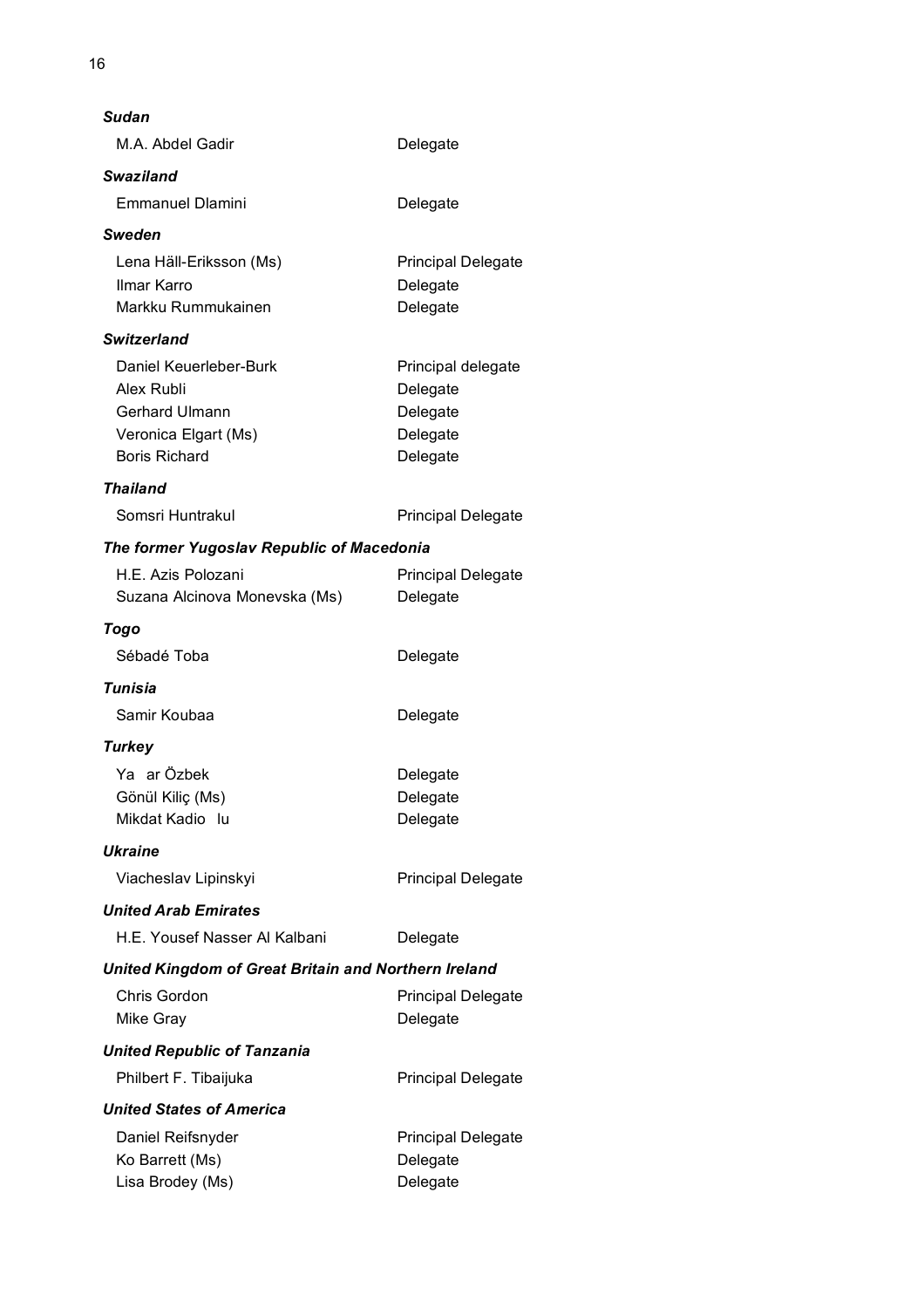| Sudan                                                |                           |  |  |
|------------------------------------------------------|---------------------------|--|--|
| M.A. Abdel Gadir                                     | Delegate                  |  |  |
| <b>Swaziland</b>                                     |                           |  |  |
| <b>Emmanuel Dlamini</b>                              | Delegate                  |  |  |
| Sweden                                               |                           |  |  |
| Lena Häll-Eriksson (Ms)                              | <b>Principal Delegate</b> |  |  |
| Ilmar Karro                                          | Delegate                  |  |  |
| Markku Rummukainen                                   | Delegate                  |  |  |
| <b>Switzerland</b>                                   |                           |  |  |
| Daniel Keuerleber-Burk                               | Principal delegate        |  |  |
| Alex Rubli                                           | Delegate                  |  |  |
| <b>Gerhard Ulmann</b>                                | Delegate                  |  |  |
| Veronica Elgart (Ms)                                 | Delegate                  |  |  |
| <b>Boris Richard</b>                                 | Delegate                  |  |  |
| <b>Thailand</b>                                      |                           |  |  |
| Somsri Huntrakul                                     | <b>Principal Delegate</b> |  |  |
| The former Yugoslav Republic of Macedonia            |                           |  |  |
| H.E. Azis Polozani                                   | <b>Principal Delegate</b> |  |  |
| Suzana Alcinova Monevska (Ms)                        | Delegate                  |  |  |
| Togo                                                 |                           |  |  |
| Sébadé Toba                                          | Delegate                  |  |  |
| Tunisia                                              |                           |  |  |
| Samir Koubaa                                         | Delegate                  |  |  |
| <b>Turkey</b>                                        |                           |  |  |
| Ya ar Özbek                                          | Delegate                  |  |  |
| Gönül Kiliç (Ms)                                     | Delegate                  |  |  |
| Mikdat Kadio lu                                      | Delegate                  |  |  |
| <b>Ukraine</b>                                       |                           |  |  |
| Viacheslav Lipinskyi                                 | <b>Principal Delegate</b> |  |  |
| <b>United Arab Emirates</b>                          |                           |  |  |
| H.E. Yousef Nasser Al Kalbani                        | Delegate                  |  |  |
| United Kingdom of Great Britain and Northern Ireland |                           |  |  |
| Chris Gordon                                         | <b>Principal Delegate</b> |  |  |
| Mike Gray                                            | Delegate                  |  |  |
| <b>United Republic of Tanzania</b>                   |                           |  |  |
| Philbert F. Tibaijuka                                | <b>Principal Delegate</b> |  |  |
| <b>United States of America</b>                      |                           |  |  |
| Daniel Reifsnyder                                    | <b>Principal Delegate</b> |  |  |
| Ko Barrett (Ms)                                      | Delegate                  |  |  |
| Lisa Brodey (Ms)                                     | Delegate                  |  |  |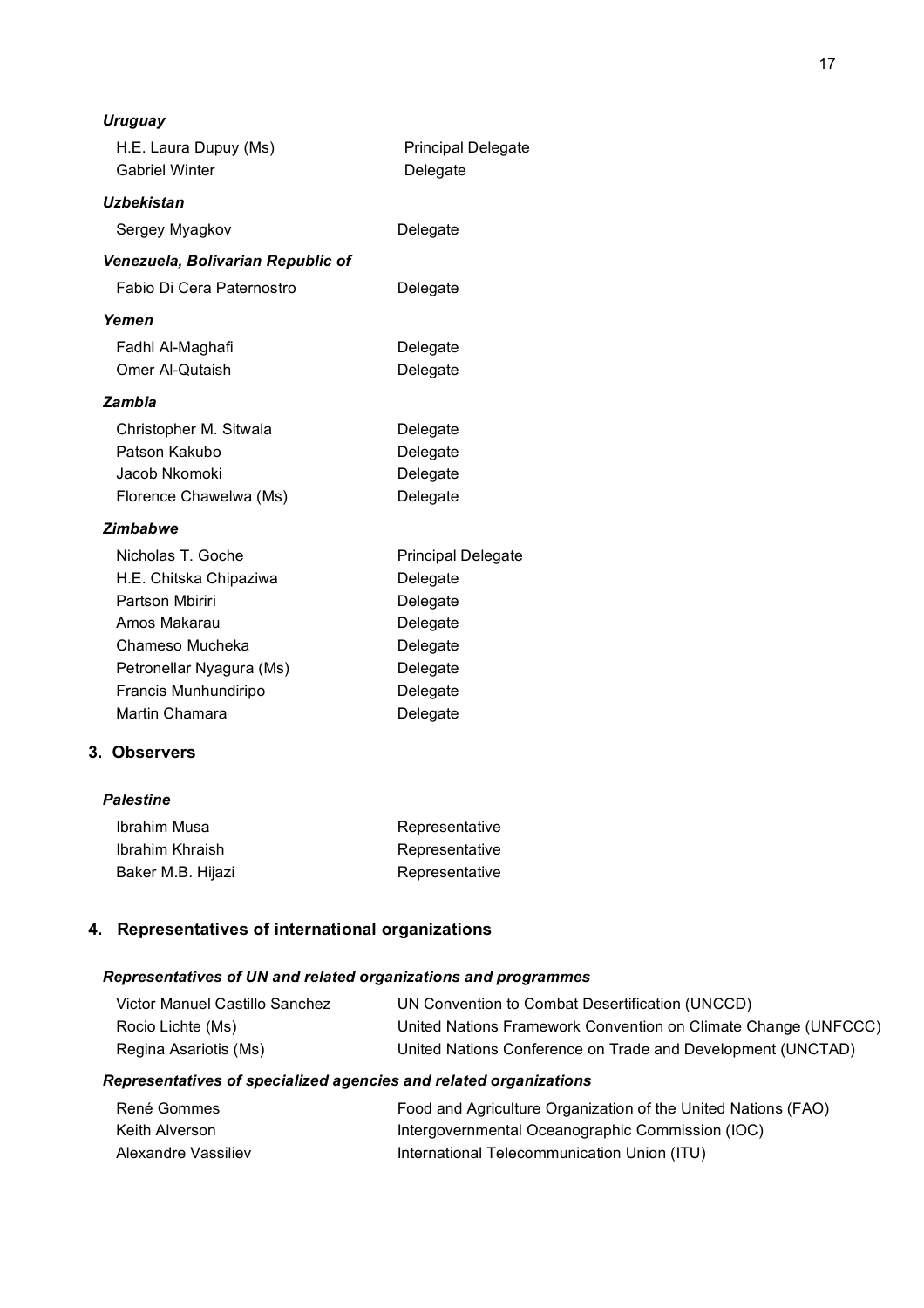| Uruguay                           |                           |
|-----------------------------------|---------------------------|
| H.E. Laura Dupuy (Ms)             | <b>Principal Delegate</b> |
| <b>Gabriel Winter</b>             | Delegate                  |
| Uzbekistan                        |                           |
| Sergey Myagkov                    | Delegate                  |
| Venezuela, Bolivarian Republic of |                           |
| Fabio Di Cera Paternostro         | Delegate                  |
| Yemen                             |                           |
| Fadhl Al-Maghafi                  | Delegate                  |
| Omer Al-Qutaish                   | Delegate                  |
| Zambia                            |                           |
| Christopher M. Sitwala            | Delegate                  |
| Patson Kakubo                     | Delegate                  |
| Jacob Nkomoki                     | Delegate                  |
| Florence Chawelwa (Ms)            | Delegate                  |
| <b>Zimbabwe</b>                   |                           |
| Nicholas T. Goche                 | <b>Principal Delegate</b> |
| H.E. Chitska Chipaziwa            | Delegate                  |
| Partson Mbiriri                   | Delegate                  |
| Amos Makarau                      | Delegate                  |
| Chameso Mucheka                   | Delegate                  |
| Petronellar Nyagura (Ms)          | Delegate                  |
| Francis Munhundiripo              | Delegate                  |
| Martin Chamara                    | Delegate                  |

#### **3. Observers**

#### *Palestine*

| Ibrahim Musa      | Representative |
|-------------------|----------------|
| Ibrahim Khraish   | Representative |
| Baker M.B. Hijazi | Representative |

# **4. Representatives of international organizations**

#### *Representatives of UN and related organizations and programmes*

| Victor Manuel Castillo Sanchez | UN Convention to Combat Desertification (UNCCD)                |
|--------------------------------|----------------------------------------------------------------|
| Rocio Lichte (Ms)              | United Nations Framework Convention on Climate Change (UNFCCC) |
| Regina Asariotis (Ms)          | United Nations Conference on Trade and Development (UNCTAD)    |

#### *Representatives of specialized agencies and related organizations*

| René Gommes         | Food and Agriculture Organization of the United Nations (FAO) |
|---------------------|---------------------------------------------------------------|
| Keith Alverson      | Intergovernmental Oceanographic Commission (IOC)              |
| Alexandre Vassiliev | International Telecommunication Union (ITU)                   |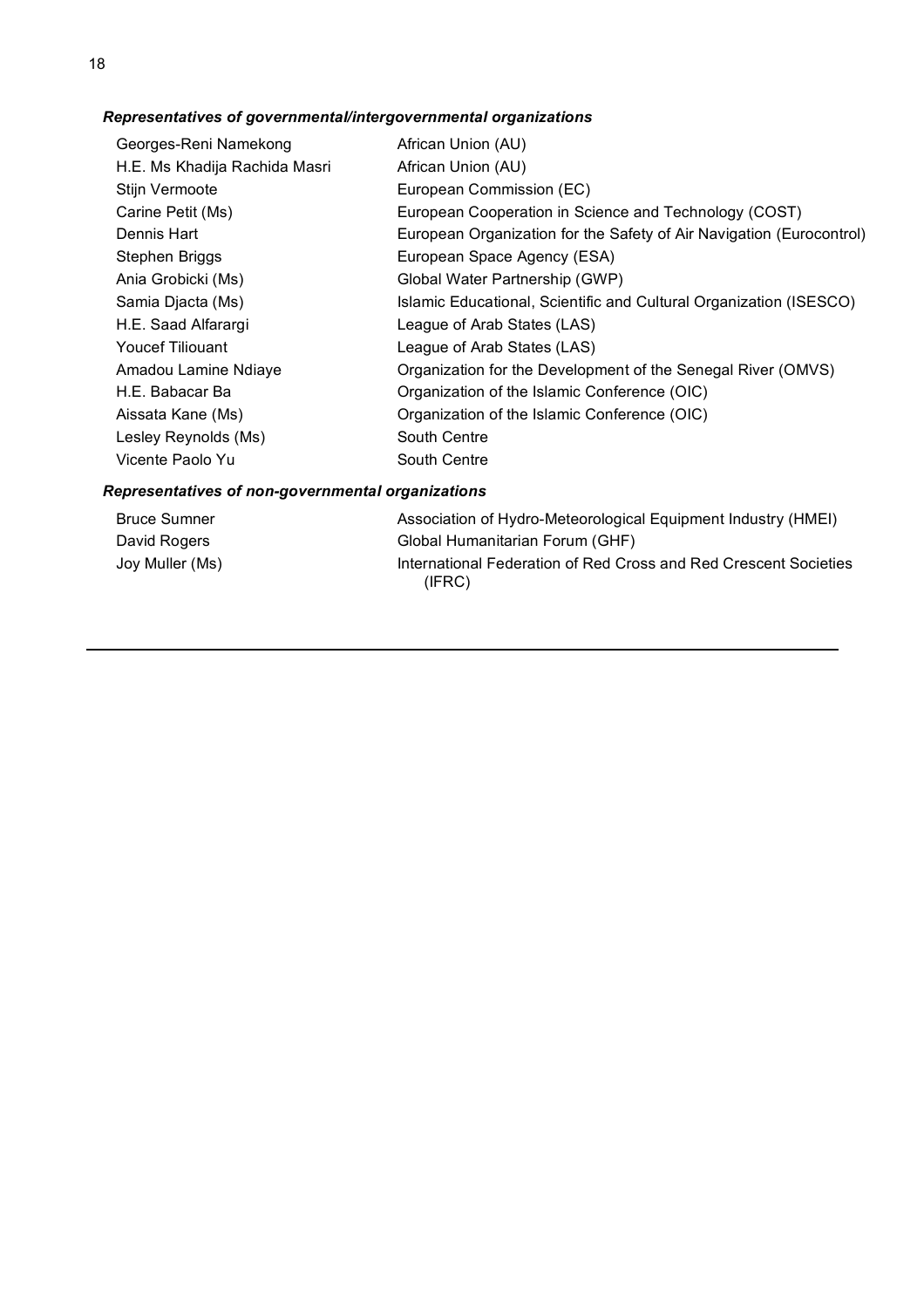# *Representatives of governmental/intergovernmental organizations*

| Georges-Reni Namekong         | African Union (AU)                                                   |
|-------------------------------|----------------------------------------------------------------------|
| H.E. Ms Khadija Rachida Masri | African Union (AU)                                                   |
| Stijn Vermoote                | European Commission (EC)                                             |
| Carine Petit (Ms)             | European Cooperation in Science and Technology (COST)                |
| Dennis Hart                   | European Organization for the Safety of Air Navigation (Eurocontrol) |
| Stephen Briggs                | European Space Agency (ESA)                                          |
| Ania Grobicki (Ms)            | Global Water Partnership (GWP)                                       |
| Samia Djacta (Ms)             | Islamic Educational, Scientific and Cultural Organization (ISESCO)   |
| H.E. Saad Alfarargi           | League of Arab States (LAS)                                          |
| <b>Youcef Tiliouant</b>       | League of Arab States (LAS)                                          |
| Amadou Lamine Ndiaye          | Organization for the Development of the Senegal River (OMVS)         |
| H.E. Babacar Ba               | Organization of the Islamic Conference (OIC)                         |
| Aissata Kane (Ms)             | Organization of the Islamic Conference (OIC)                         |
| Lesley Reynolds (Ms)          | South Centre                                                         |
| Vicente Paolo Yu              | South Centre                                                         |
|                               |                                                                      |

# *Representatives of non-governmental organizations*

| <b>Bruce Sumner</b> | Association of Hydro-Meteorological Equipment Industry (HMEI)              |
|---------------------|----------------------------------------------------------------------------|
| David Rogers        | Global Humanitarian Forum (GHF)                                            |
| Joy Muller (Ms)     | International Federation of Red Cross and Red Crescent Societies<br>(IFRC) |